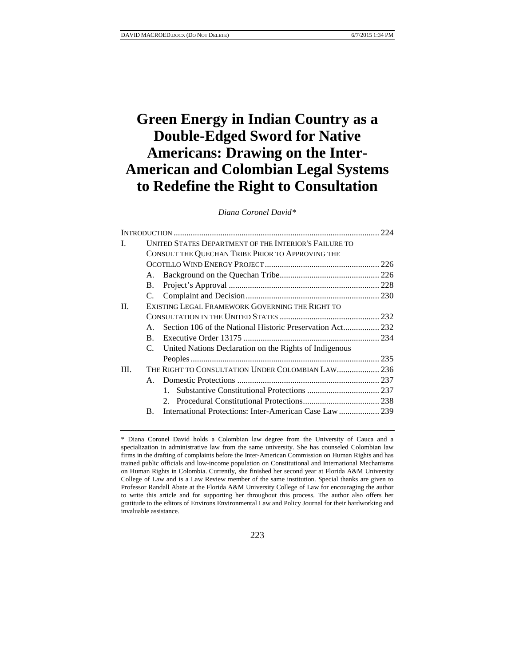# **Green Energy in Indian Country as a Double-Edged Sword for Native Americans: Drawing on the Inter-American and Colombian Legal Systems to Redefine the Right to Consultation**

# *Diana Coronel David[\\*](#page-0-0)*

| L.      | <b>UNITED STATES DEPARTMENT OF THE INTERIOR'S FAILURE TO</b> |                                                           |  |  |
|---------|--------------------------------------------------------------|-----------------------------------------------------------|--|--|
|         | CONSULT THE QUECHAN TRIBE PRIOR TO APPROVING THE             |                                                           |  |  |
|         |                                                              |                                                           |  |  |
|         |                                                              |                                                           |  |  |
|         | B.                                                           |                                                           |  |  |
|         |                                                              |                                                           |  |  |
| $\Pi$ . | EXISTING LEGAL FRAMEWORK GOVERNING THE RIGHT TO              |                                                           |  |  |
|         |                                                              |                                                           |  |  |
|         | $\mathbf{A}$                                                 |                                                           |  |  |
|         | <b>B.</b>                                                    |                                                           |  |  |
|         |                                                              | C. United Nations Declaration on the Rights of Indigenous |  |  |
|         |                                                              |                                                           |  |  |
| III.    |                                                              |                                                           |  |  |
|         |                                                              |                                                           |  |  |
|         |                                                              | $\mathbf{1}$                                              |  |  |
|         |                                                              |                                                           |  |  |
|         | $\mathbf{B}$ .                                               |                                                           |  |  |

223

<span id="page-0-0"></span><sup>\*</sup> Diana Coronel David holds a Colombian law degree from the University of Cauca and a specialization in administrative law from the same university. She has counseled Colombian law firms in the drafting of complaints before the Inter-American Commission on Human Rights and has trained public officials and low-income population on Constitutional and International Mechanisms on Human Rights in Colombia. Currently, she finished her second year at Florida A&M University College of Law and is a Law Review member of the same institution. Special thanks are given to Professor Randall Abate at the Florida A&M University College of Law for encouraging the author to write this article and for supporting her throughout this process. The author also offers her gratitude to the editors of Environs Environmental Law and Policy Journal for their hardworking and invaluable assistance.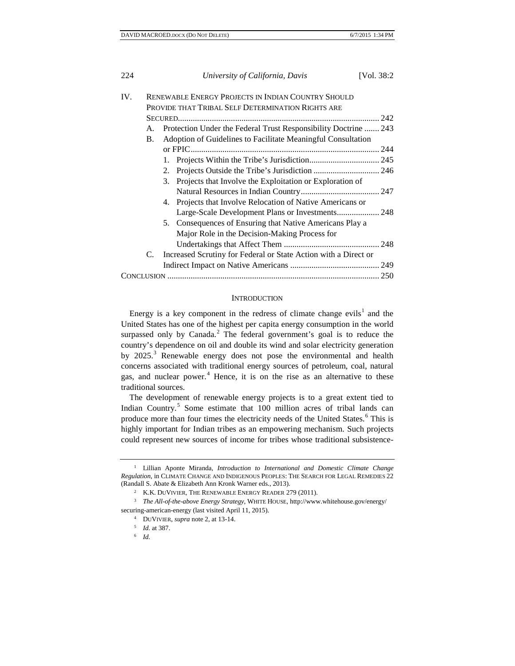| 224 | [Vol. 38:2]<br>University of California, Davis                     |  |  |
|-----|--------------------------------------------------------------------|--|--|
| IV. | <b>RENEWABLE ENERGY PROJECTS IN INDIAN COUNTRY SHOULD</b>          |  |  |
|     | PROVIDE THAT TRIBAL SELF DETERMINATION RIGHTS ARE                  |  |  |
|     |                                                                    |  |  |
| А.  | Protection Under the Federal Trust Responsibility Doctrine  243    |  |  |
|     | Adoption of Guidelines to Facilitate Meaningful Consultation<br>B. |  |  |
|     |                                                                    |  |  |
|     | 1.                                                                 |  |  |
|     | 2.                                                                 |  |  |
|     | Projects that Involve the Exploitation or Exploration of<br>3.     |  |  |
|     |                                                                    |  |  |
|     | Projects that Involve Relocation of Native Americans or<br>4.      |  |  |
|     |                                                                    |  |  |
|     | 5. Consequences of Ensuring that Native Americans Play a           |  |  |
|     | Major Role in the Decision-Making Process for                      |  |  |
|     |                                                                    |  |  |
| C.  | Increased Scrutiny for Federal or State Action with a Direct or    |  |  |
|     |                                                                    |  |  |
|     |                                                                    |  |  |

#### **INTRODUCTION**

Energy is a key component in the redress of climate change evils<sup>[1](#page-1-0)</sup> and the United States has one of the highest per capita energy consumption in the world surpassed only by Canada. $<sup>2</sup>$  $<sup>2</sup>$  $<sup>2</sup>$  The federal government's goal is to reduce the</sup> country's dependence on oil and double its wind and solar electricity generation by 2025.<sup>[3](#page-1-2)</sup> Renewable energy does not pose the environmental and health concerns associated with traditional energy sources of petroleum, coal, natural gas, and nuclear power.<sup>[4](#page-1-3)</sup> Hence, it is on the rise as an alternative to these traditional sources.

The development of renewable energy projects is to a great extent tied to Indian Country.[5](#page-1-4) Some estimate that 100 million acres of tribal lands can produce more than four times the electricity needs of the United States.<sup>[6](#page-1-5)</sup> This is highly important for Indian tribes as an empowering mechanism. Such projects could represent new sources of income for tribes whose traditional subsistence-

<span id="page-1-0"></span><sup>1</sup> Lillian Aponte Miranda, *Introduction to International and Domestic Climate Change Regulation*, in CLIMATE CHANGE AND INDIGENOUS PEOPLES: THE SEARCH FOR LEGAL REMEDIES 22 (Randall S. Abate & Elizabeth Ann Kronk Warner eds., 2013). 2 K.K. DUVIVIER, THE RENEWABLE ENERGY READER 279 (2011).

<span id="page-1-5"></span><span id="page-1-4"></span><span id="page-1-3"></span><span id="page-1-2"></span><span id="page-1-1"></span><sup>3</sup> *The All-of-the-above Energy Strategy*, WHITE HOUSE, http://www.whitehouse.gov/energy/ securing-american-energy (last visited April 11, 2015).

<sup>4</sup> DUVIVIER, *supra* note 2, at 13-14.

<sup>5</sup> *Id.* at 387.

<sup>6</sup> *Id.*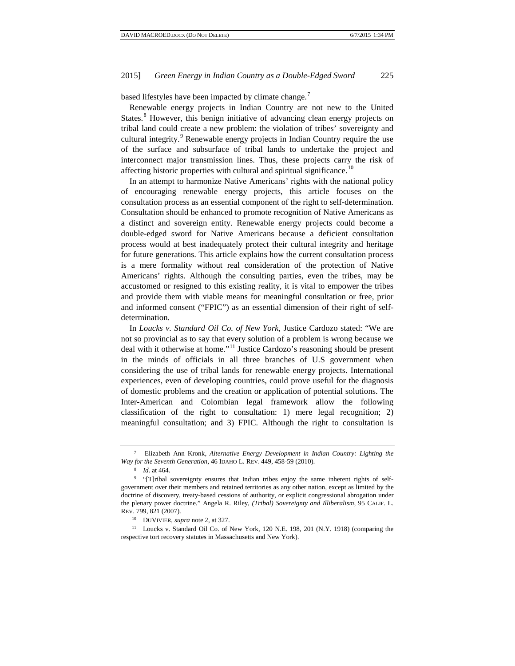based lifestyles have been impacted by climate change.<sup>[7](#page-2-0)</sup>

Renewable energy projects in Indian Country are not new to the United States.<sup>[8](#page-2-1)</sup> However, this benign initiative of advancing clean energy projects on tribal land could create a new problem: the violation of tribes' sovereignty and cultural integrity.<sup>[9](#page-2-2)</sup> Renewable energy projects in Indian Country require the use of the surface and subsurface of tribal lands to undertake the project and interconnect major transmission lines. Thus, these projects carry the risk of affecting historic properties with cultural and spiritual significance.<sup>[10](#page-2-3)</sup>

In an attempt to harmonize Native Americans' rights with the national policy of encouraging renewable energy projects, this article focuses on the consultation process as an essential component of the right to self-determination. Consultation should be enhanced to promote recognition of Native Americans as a distinct and sovereign entity. Renewable energy projects could become a double-edged sword for Native Americans because a deficient consultation process would at best inadequately protect their cultural integrity and heritage for future generations. This article explains how the current consultation process is a mere formality without real consideration of the protection of Native Americans' rights. Although the consulting parties, even the tribes, may be accustomed or resigned to this existing reality, it is vital to empower the tribes and provide them with viable means for meaningful consultation or free, prior and informed consent ("FPIC") as an essential dimension of their right of selfdetermination.

In *Loucks v. Standard Oil Co. of New York,* Justice Cardozo stated: "We are not so provincial as to say that every solution of a problem is wrong because we deal with it otherwise at home."[11](#page-2-4) Justice Cardozo's reasoning should be present in the minds of officials in all three branches of U.S government when considering the use of tribal lands for renewable energy projects. International experiences, even of developing countries, could prove useful for the diagnosis of domestic problems and the creation or application of potential solutions. The Inter-American and Colombian legal framework allow the following classification of the right to consultation: 1) mere legal recognition; 2) meaningful consultation; and 3) FPIC. Although the right to consultation is

<span id="page-2-0"></span><sup>7</sup> Elizabeth Ann Kronk, *Alternative Energy Development in Indian Country: Lighting the Way for the Seventh Generation*, 46 IDAHO L. REV. 449, 458-59 (2010).

*Id.* at 464.

<span id="page-2-2"></span><span id="page-2-1"></span><sup>9</sup> "[T]ribal sovereignty ensures that Indian tribes enjoy the same inherent rights of selfgovernment over their members and retained territories as any other nation, except as limited by the doctrine of discovery, treaty-based cessions of authority, or explicit congressional abrogation under the plenary power doctrine." Angela R. Riley, *(Tribal) Sovereignty and Illiberalism*, 95 CALIF. L. REV. 799, 821 (2007).

<sup>10</sup> DUVIVIER, *supra* note 2, at 327.

<span id="page-2-4"></span><span id="page-2-3"></span><sup>11</sup> Loucks v. Standard Oil Co. of New York, 120 N.E. 198, 201 (N.Y. 1918) (comparing the respective tort recovery statutes in Massachusetts and New York).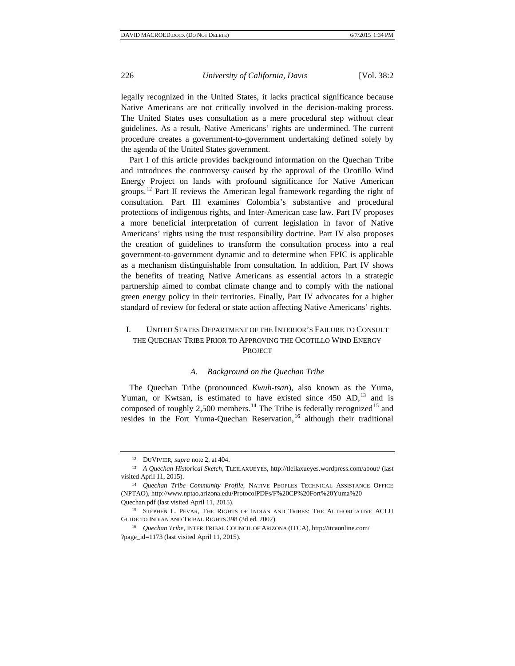legally recognized in the United States, it lacks practical significance because Native Americans are not critically involved in the decision-making process. The United States uses consultation as a mere procedural step without clear guidelines. As a result, Native Americans' rights are undermined. The current procedure creates a government-to-government undertaking defined solely by the agenda of the United States government.

Part I of this article provides background information on the Quechan Tribe and introduces the controversy caused by the approval of the Ocotillo Wind Energy Project on lands with profound significance for Native American groups.<sup>[12](#page-3-0)</sup> Part II reviews the American legal framework regarding the right of consultation. Part III examines Colombia's substantive and procedural protections of indigenous rights, and Inter-American case law. Part IV proposes a more beneficial interpretation of current legislation in favor of Native Americans' rights using the trust responsibility doctrine. Part IV also proposes the creation of guidelines to transform the consultation process into a real government-to-government dynamic and to determine when FPIC is applicable as a mechanism distinguishable from consultation. In addition, Part IV shows the benefits of treating Native Americans as essential actors in a strategic partnership aimed to combat climate change and to comply with the national green energy policy in their territories. Finally, Part IV advocates for a higher standard of review for federal or state action affecting Native Americans' rights.

# I. UNITED STATES DEPARTMENT OF THE INTERIOR'S FAILURE TO CONSULT THE QUECHAN TRIBE PRIOR TO APPROVING THE OCOTILLO WIND ENERGY PROJECT

#### *A. Background on the Quechan Tribe*

The Quechan Tribe (pronounced *Kwuh-tsan*), also known as the Yuma, Yuman, or Kwtsan, is estimated to have existed since  $450$  AD,  $13$  and is composed of roughly 2,500 members.<sup>[14](#page-3-2)</sup> The Tribe is federally recognized<sup>[15](#page-3-3)</sup> and resides in the Fort Yuma-Quechan Reservation,<sup>[16](#page-3-4)</sup> although their traditional

<sup>12</sup> DUVIVIER, *supra* note 2, at 404.

<span id="page-3-1"></span><span id="page-3-0"></span><sup>13</sup> *A Quechan Historical Sketch*, TLEILAXUEYES, http://tleilaxueyes.wordpress.com/about/ (last visited April 11, 2015).

<span id="page-3-2"></span><sup>14</sup> *Quechan Tribe Community Profile*, NATIVE PEOPLES TECHNICAL ASSISTANCE OFFICE (NPTAO), http://www.nptao.arizona.edu/ProtocolPDFs/F%20CP%20Fort%20Yuma%20 Quechan.pdf (last visited April 11, 2015).

<span id="page-3-3"></span><sup>&</sup>lt;sup>15</sup> STEPHEN L. PEVAR, THE RIGHTS OF INDIAN AND TRIBES: THE AUTHORITATIVE ACLU GUIDE TO INDIAN AND TRIBAL RIGHTS 398 (3d ed. 2002). 16 *Quechan Tribe*, INTER TRIBAL COUNCIL OF ARIZONA (ITCA), http://itcaonline.com/

<span id="page-3-4"></span><sup>?</sup>page\_id=1173 (last visited April 11, 2015).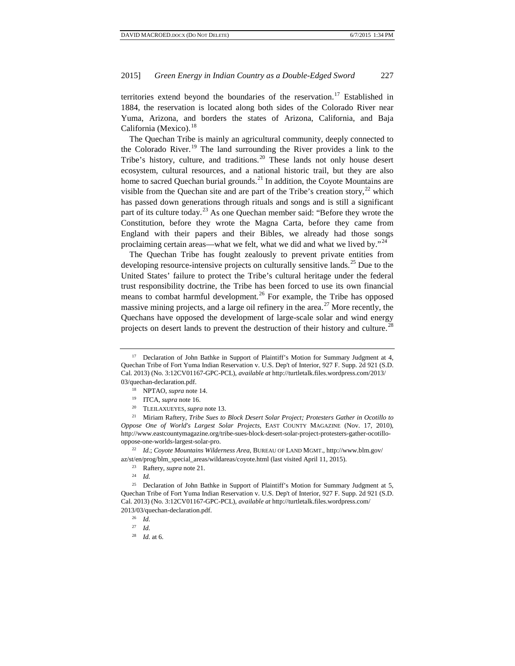territories extend beyond the boundaries of the reservation.<sup>[17](#page-4-0)</sup> Established in 1884, the reservation is located along both sides of the Colorado River near Yuma, Arizona, and borders the states of Arizona, California, and Baja California (Mexico).<sup>[18](#page-4-1)</sup>

The Quechan Tribe is mainly an agricultural community, deeply connected to the Colorado River.<sup>[19](#page-4-2)</sup> The land surrounding the River provides a link to the Tribe's history, culture, and traditions.<sup>[20](#page-4-3)</sup> These lands not only house desert ecosystem, cultural resources, and a national historic trail, but they are also home to sacred Quechan burial grounds.<sup>[21](#page-4-4)</sup> In addition, the Coyote Mountains are visible from the Quechan site and are part of the Tribe's creation story,  $^{22}$  $^{22}$  $^{22}$  which has passed down generations through rituals and songs and is still a significant part of its culture today.<sup>[23](#page-4-6)</sup> As one Quechan member said: "Before they wrote the Constitution, before they wrote the Magna Carta, before they came from England with their papers and their Bibles, we already had those songs proclaiming certain areas—what we felt, what we did and what we lived by."<sup>[24](#page-4-7)</sup>

The Quechan Tribe has fought zealously to prevent private entities from developing resource-intensive projects on culturally sensitive lands.<sup>[25](#page-4-8)</sup> Due to the United States' failure to protect the Tribe's cultural heritage under the federal trust responsibility doctrine, the Tribe has been forced to use its own financial means to combat harmful development.<sup>[26](#page-4-9)</sup> For example, the Tribe has opposed massive mining projects, and a large oil refinery in the area.<sup>[27](#page-4-10)</sup> More recently, the Quechans have opposed the development of large-scale solar and wind energy projects on desert lands to prevent the destruction of their history and culture.<sup>[28](#page-4-11)</sup>

<span id="page-4-4"></span><span id="page-4-3"></span><span id="page-4-2"></span><span id="page-4-1"></span><sup>21</sup> Miriam Raftery, *Tribe Sues to Block Desert Solar Project; Protesters Gather in Ocotillo to Oppose One of World's Largest Solar Projects*, EAST COUNTY MAGAZINE (Nov. 17, 2010), http://www.eastcountymagazine.org/tribe-sues-block-desert-solar-project-protesters-gather-ocotillooppose-one-worlds-largest-solar-pro.

<span id="page-4-5"></span><sup>22</sup> *Id.*; *Coyote Mountains Wilderness Area*, BUREAU OF LAND MGMT., http://www.blm.gov/ az/st/en/prog/blm\_special\_areas/wildareas/coyote.html (last visited April 11, 2015).

<span id="page-4-0"></span><sup>&</sup>lt;sup>17</sup> Declaration of John Bathke in Support of Plaintiff's Motion for Summary Judgment at 4, Quechan Tribe of Fort Yuma Indian Reservation v. U.S. Dep't of Interior, 927 F. Supp. 2d 921 (S.D. Cal. 2013) (No. 3:12CV01167-GPC-PCL), *available at* http://turtletalk.files.wordpress.com/2013/ 03/quechan-declaration.pdf.

<sup>18</sup> NPTAO, *supra* note 14.

<sup>19</sup> ITCA, *supra* note 16. 20 TLEILAXUEYES, *supra* note 13.

<sup>23</sup> Raftery, *supra* note 21.

<sup>24</sup> *Id.*

<span id="page-4-11"></span><span id="page-4-10"></span><span id="page-4-9"></span><span id="page-4-8"></span><span id="page-4-7"></span><span id="page-4-6"></span><sup>&</sup>lt;sup>25</sup> Declaration of John Bathke in Support of Plaintiff's Motion for Summary Judgment at 5, Quechan Tribe of Fort Yuma Indian Reservation v. U.S. Dep't of Interior, 927 F. Supp. 2d 921 (S.D. Cal. 2013) (No. 3:12CV01167-GPC-PCL), *available at* http://turtletalk.files.wordpress.com/ 2013/03/quechan-declaration.pdf.

<sup>26</sup> *Id.* 

<sup>27</sup> *Id.*

<sup>28</sup> *Id.* at 6.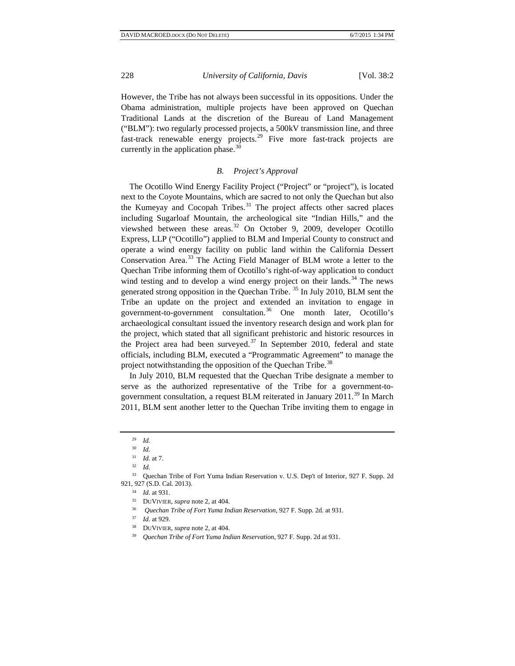However, the Tribe has not always been successful in its oppositions. Under the Obama administration, multiple projects have been approved on Quechan Traditional Lands at the discretion of the Bureau of Land Management ("BLM"): two regularly processed projects, a 500kV transmission line, and three fast-track renewable energy projects.<sup>[29](#page-5-0)</sup> Five more fast-track projects are currently in the application phase.<sup>[30](#page-5-1)</sup>

### *B. Project's Approval*

The Ocotillo Wind Energy Facility Project ("Project" or "project"), is located next to the Coyote Mountains, which are sacred to not only the Quechan but also the Kumeyay and Cocopah Tribes.<sup>[31](#page-5-2)</sup> The project affects other sacred places including Sugarloaf Mountain, the archeological site "Indian Hills," and the viewshed between these areas.<sup>[32](#page-5-3)</sup> On October 9, 2009, developer Ocotillo Express, LLP ("Ocotillo") applied to BLM and Imperial County to construct and operate a wind energy facility on public land within the California Dessert Conservation Area.<sup>[33](#page-5-4)</sup> The Acting Field Manager of BLM wrote a letter to the Quechan Tribe informing them of Ocotillo's right-of-way application to conduct wind testing and to develop a wind energy project on their lands.<sup>[34](#page-5-5)</sup> The news generated strong opposition in the Quechan Tribe.<sup>[35](#page-5-6)</sup> In July 2010, BLM sent the Tribe an update on the project and extended an invitation to engage in government-to-government consultation.<sup>[36](#page-5-7)</sup> One month later, Ocotillo's archaeological consultant issued the inventory research design and work plan for the project, which stated that all significant prehistoric and historic resources in the Project area had been surveyed.<sup>[37](#page-5-8)</sup> In September 2010, federal and state officials, including BLM, executed a "Programmatic Agreement" to manage the project notwithstanding the opposition of the Quechan Tribe.<sup>[38](#page-5-9)</sup>

In July 2010, BLM requested that the Quechan Tribe designate a member to serve as the authorized representative of the Tribe for a government-to-government consultation, a request BLM reiterated in January 2011.<sup>[39](#page-5-10)</sup> In March 2011, BLM sent another letter to the Quechan Tribe inviting them to engage in

<sup>29</sup> *Id.*

<sup>30</sup> *Id.*

<sup>31</sup> *Id.* at 7.

<sup>32</sup> *Id.*

<span id="page-5-8"></span><span id="page-5-7"></span><span id="page-5-6"></span><span id="page-5-5"></span><span id="page-5-4"></span><span id="page-5-3"></span><span id="page-5-2"></span><span id="page-5-1"></span><span id="page-5-0"></span><sup>33</sup> Quechan Tribe of Fort Yuma Indian Reservation v. U.S. Dep't of Interior, 927 F. Supp. 2d 921, 927 (S.D. Cal. 2013).

<sup>34</sup> *Id.* at 931.

<sup>35</sup> DUVIVIER, *supra* note 2, at 404.

<sup>36</sup> *Quechan Tribe of Fort Yuma Indian Reservation*, 927 F. Supp. 2d. at 931.

<sup>37</sup> *Id.* at 929.

<span id="page-5-10"></span><span id="page-5-9"></span><sup>38</sup> DUVIVIER, *supra* note 2, at 404.

<sup>39</sup> *Quechan Tribe of Fort Yuma Indian Reservation*, 927 F. Supp. 2d at 931.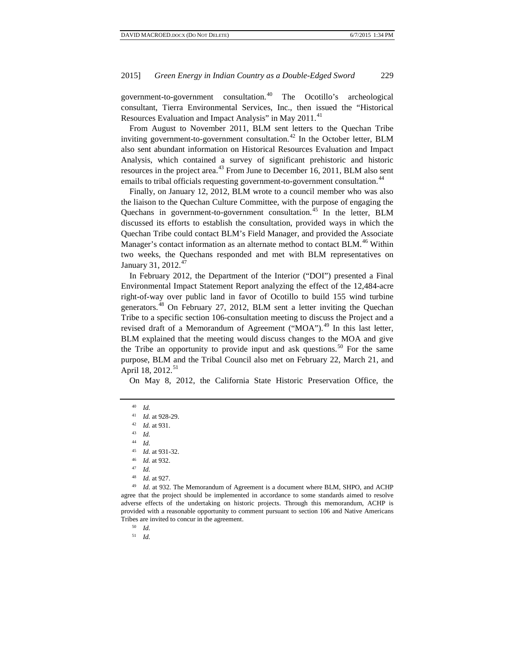government-to-government consultation.<sup>[40](#page-6-0)</sup> The Ocotillo's archeological consultant, Tierra Environmental Services, Inc., then issued the "Historical Resources Evaluation and Impact Analysis" in May 2011.<sup>[41](#page-6-1)</sup>

From August to November 2011, BLM sent letters to the Quechan Tribe inviting government-to-government consultation.<sup>[42](#page-6-2)</sup> In the October letter, BLM also sent abundant information on Historical Resources Evaluation and Impact Analysis, which contained a survey of significant prehistoric and historic resources in the project area.<sup>[43](#page-6-3)</sup> From June to December 16, 2011, BLM also sent emails to tribal officials requesting government-to-government consultation.<sup>[44](#page-6-4)</sup>

Finally, on January 12, 2012, BLM wrote to a council member who was also the liaison to the Quechan Culture Committee, with the purpose of engaging the Quechans in government-to-government consultation.<sup>[45](#page-6-5)</sup> In the letter, BLM discussed its efforts to establish the consultation, provided ways in which the Quechan Tribe could contact BLM's Field Manager, and provided the Associate Manager's contact information as an alternate method to contact BLM.<sup>[46](#page-6-6)</sup> Within two weeks, the Quechans responded and met with BLM representatives on January 31, 2012.<sup>[47](#page-6-7)</sup>

In February 2012, the Department of the Interior ("DOI") presented a Final Environmental Impact Statement Report analyzing the effect of the 12,484-acre right-of-way over public land in favor of Ocotillo to build 155 wind turbine generators.<sup>[48](#page-6-8)</sup> On February 27, 2012, BLM sent a letter inviting the Quechan Tribe to a specific section 106-consultation meeting to discuss the Project and a revised draft of a Memorandum of Agreement ("MOA").<sup>[49](#page-6-9)</sup> In this last letter, BLM explained that the meeting would discuss changes to the MOA and give the Tribe an opportunity to provide input and ask questions.<sup>[50](#page-6-10)</sup> For the same purpose, BLM and the Tribal Council also met on February 22, March 21, and April 18, 2012.<sup>[51](#page-6-11)</sup>

On May 8, 2012, the California State Historic Preservation Office, the

<sup>43</sup> *Id.*

<sup>48</sup> *Id.* at 927.

<span id="page-6-11"></span><span id="page-6-10"></span><span id="page-6-9"></span><span id="page-6-8"></span><span id="page-6-7"></span><span id="page-6-6"></span><span id="page-6-5"></span><span id="page-6-4"></span><sup>49</sup> *Id.* at 932. The Memorandum of Agreement is a document where BLM, SHPO, and ACHP agree that the project should be implemented in accordance to some standards aimed to resolve adverse effects of the undertaking on historic projects. Through this memorandum, ACHP is provided with a reasonable opportunity to comment pursuant to section 106 and Native Americans Tribes are invited to concur in the agreement.

<sup>50</sup> *Id.*

<sup>51</sup> *Id.*

<sup>40</sup> *Id.*

<sup>41</sup> *Id.* at 928-29.

<span id="page-6-3"></span><span id="page-6-2"></span><span id="page-6-1"></span><span id="page-6-0"></span><sup>42</sup> *Id.* at 931.

<sup>44</sup> *Id.*

<sup>45</sup> *Id.* at 931-32.

<sup>46</sup> *Id.* at 932.

<sup>47</sup> *Id.*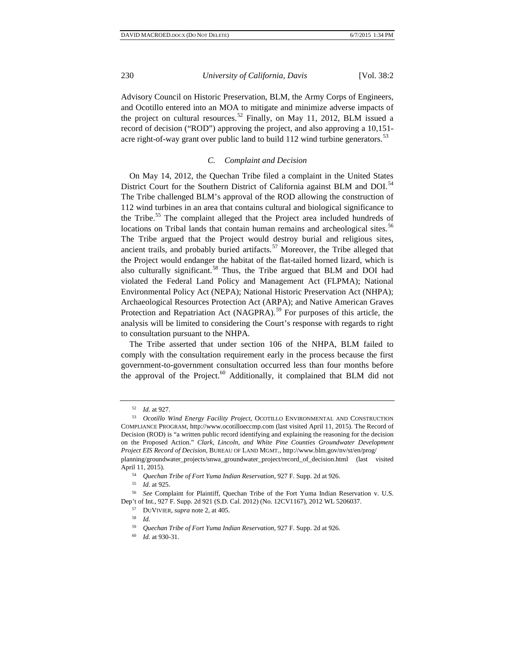Advisory Council on Historic Preservation, BLM, the Army Corps of Engineers, and Ocotillo entered into an MOA to mitigate and minimize adverse impacts of the project on cultural resources.<sup>[52](#page-7-0)</sup> Finally, on May 11, 2012, BLM issued a record of decision ("ROD") approving the project, and also approving a 10,151 acre right-of-way grant over public land to build  $112$  wind turbine generators.<sup>[53](#page-7-1)</sup>

### *C. Complaint and Decision*

On May 14, 2012, the Quechan Tribe filed a complaint in the United States District Court for the Southern District of California against BLM and DOI.<sup>[54](#page-7-2)</sup> The Tribe challenged BLM's approval of the ROD allowing the construction of 112 wind turbines in an area that contains cultural and biological significance to the Tribe.<sup>[55](#page-7-3)</sup> The complaint alleged that the Project area included hundreds of locations on Tribal lands that contain human remains and archeological sites.<sup>[56](#page-7-4)</sup> The Tribe argued that the Project would destroy burial and religious sites, ancient trails, and probably buried artifacts.<sup>[57](#page-7-5)</sup> Moreover, the Tribe alleged that the Project would endanger the habitat of the flat-tailed horned lizard, which is also culturally significant.<sup>[58](#page-7-6)</sup> Thus, the Tribe argued that BLM and DOI had violated the Federal Land Policy and Management Act (FLPMA); National Environmental Policy Act (NEPA); National Historic Preservation Act (NHPA); Archaeological Resources Protection Act (ARPA); and Native American Graves Protection and Repatriation Act (NAGPRA).<sup>[59](#page-7-7)</sup> For purposes of this article, the analysis will be limited to considering the Court's response with regards to right to consultation pursuant to the NHPA.

The Tribe asserted that under section 106 of the NHPA, BLM failed to comply with the consultation requirement early in the process because the first government-to-government consultation occurred less than four months before the approval of the Project.<sup>[60](#page-7-8)</sup> Additionally, it complained that BLM did not

<sup>52</sup> *Id.* at 927.

<span id="page-7-1"></span><span id="page-7-0"></span><sup>53</sup> *Ocotillo Wind Energy Facility Project*, OCOTILLO ENVIRONMENTAL AND CONSTRUCTION COMPLIANCE PROGRAM, http://www.ocotilloeccmp.com (last visited April 11, 2015). The Record of Decision (ROD) is "a written public record identifying and explaining the reasoning for the decision on the Proposed Action." *Clark, Lincoln, and White Pine Counties Groundwater Development Project EIS Record of Decision*, BUREAU OF LAND MGMT., http://www.blm.gov/nv/st/en/prog/ planning/groundwater\_projects/snwa\_groundwater\_project/record\_of\_decision.html (last visited

<span id="page-7-2"></span>April 11, 2015). 54 *Quechan Tribe of Fort Yuma Indian Reservation*, 927 F. Supp. 2d at 926.

<sup>55</sup> *Id.* at 925.

<span id="page-7-8"></span><span id="page-7-7"></span><span id="page-7-6"></span><span id="page-7-5"></span><span id="page-7-4"></span><span id="page-7-3"></span><sup>56</sup> *See* Complaint for Plaintiff, Quechan Tribe of the Fort Yuma Indian Reservation v. U.S. Dep't of Int., 927 F. Supp. 2d 921 (S.D. Cal. 2012) (No. 12CV1167), 2012 WL 5206037.

<sup>57</sup> DUVIVIER, *supra* note 2, at 405.

 $\frac{58}{59}$  *Id.* 

<sup>59</sup> *Quechan Tribe of Fort Yuma Indian Reservation*, 927 F. Supp. 2d at 926.

<sup>60</sup> *Id.* at 930-31.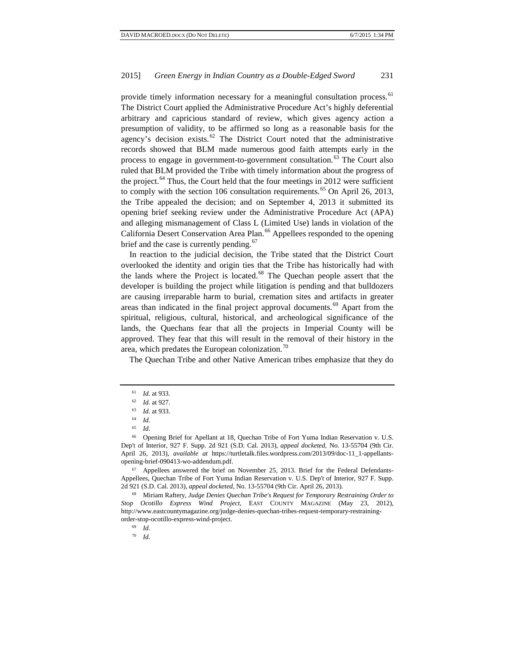provide timely information necessary for a meaningful consultation process.<sup>[61](#page-8-0)</sup> The District Court applied the Administrative Procedure Act's highly deferential arbitrary and capricious standard of review, which gives agency action a presumption of validity, to be affirmed so long as a reasonable basis for the agency's decision exists. $62$  The District Court noted that the administrative records showed that BLM made numerous good faith attempts early in the process to engage in government-to-government consultation.<sup>[63](#page-8-2)</sup> The Court also ruled that BLM provided the Tribe with timely information about the progress of the project. $^{64}$  $^{64}$  $^{64}$  Thus, the Court held that the four meetings in 2012 were sufficient to comply with the section 106 consultation requirements.<sup>[65](#page-8-4)</sup> On April 26, 2013, the Tribe appealed the decision; and on September 4, 2013 it submitted its opening brief seeking review under the Administrative Procedure Act (APA) and alleging mismanagement of Class L (Limited Use) lands in violation of the California Desert Conservation Area Plan.<sup>[66](#page-8-5)</sup> Appellees responded to the opening brief and the case is currently pending.<sup>[67](#page-8-6)</sup>

In reaction to the judicial decision, the Tribe stated that the District Court overlooked the identity and origin ties that the Tribe has historically had with the lands where the Project is located.<sup>[68](#page-8-7)</sup> The Quechan people assert that the developer is building the project while litigation is pending and that bulldozers are causing irreparable harm to burial, cremation sites and artifacts in greater areas than indicated in the final project approval documents.<sup>[69](#page-8-8)</sup> Apart from the spiritual, religious, cultural, historical, and archeological significance of the lands, the Quechans fear that all the projects in Imperial County will be approved. They fear that this will result in the removal of their history in the area, which predates the European colonization. $\frac{70}{6}$  $\frac{70}{6}$  $\frac{70}{6}$ 

The Quechan Tribe and other Native American tribes emphasize that they do

<span id="page-8-6"></span><sup>67</sup> Appellees answered the brief on November 25, 2013. Brief for the Federal Defendants-Appellees, Quechan Tribe of Fort Yuma Indian Reservation v. U.S. Dep't of Interior, 927 F. Supp. 2d 921 (S.D. Cal. 2013), *appeal docketed*, No. 13-55704 (9th Cir. April 26, 2013).

<span id="page-8-9"></span><span id="page-8-8"></span><span id="page-8-7"></span><sup>68</sup> Miriam Raftery, *Judge Denies Quechan Tribe's Request for Temporary Restraining Order to Stop Ocotillo Express Wind Project*, EAST COUNTY MAGAZINE (May 23, 2012), http://www.eastcountymagazine.org/judge-denies-quechan-tribes-request-temporary-restrainingorder-stop-ocotillo-express-wind-project.

<sup>69</sup> *Id.* 

<sup>70</sup> *Id.*

<sup>61</sup> *Id.* at 933.

<span id="page-8-0"></span><sup>62</sup> *Id.* at 927.

<sup>63</sup> *Id.* at 933.

<sup>64</sup> *Id.*

<sup>65</sup> *Id.*

<span id="page-8-5"></span><span id="page-8-4"></span><span id="page-8-3"></span><span id="page-8-2"></span><span id="page-8-1"></span><sup>66</sup> Opening Brief for Apellant at 18, Quechan Tribe of Fort Yuma Indian Reservation v. U.S. Dep't of Interior, 927 F. Supp. 2d 921 (S.D. Cal. 2013), *appeal docketed*, No. 13-55704 (9th Cir. April 26, 2013), *available at* https://turtletalk.files.wordpress.com/2013/09/doc-11\_1-appellantsopening-brief-090413-wo-addendum.pdf.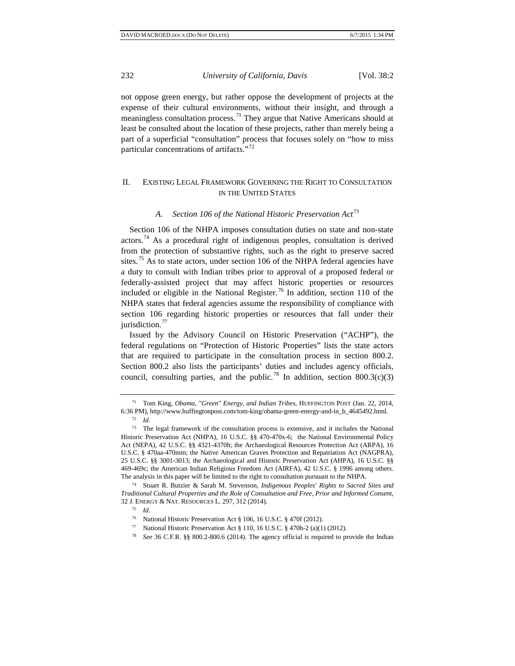not oppose green energy, but rather oppose the development of projects at the expense of their cultural environments, without their insight, and through a meaningless consultation process.<sup>[71](#page-9-0)</sup> They argue that Native Americans should at least be consulted about the location of these projects, rather than merely being a part of a superficial "consultation" process that focuses solely on "how to miss particular concentrations of artifacts."<sup>[72](#page-9-1)</sup>

# II. EXISTING LEGAL FRAMEWORK GOVERNING THE RIGHT TO CONSULTATION IN THE UNITED STATES

# *A. Section 106 of the National Historic Preservation Act[73](#page-9-2)*

Section 106 of the NHPA imposes consultation duties on state and non-state actors.[74](#page-9-3) As a procedural right of indigenous peoples, consultation is derived from the protection of substantive rights, such as the right to preserve sacred sites.<sup>[75](#page-9-4)</sup> As to state actors, under section 106 of the NHPA federal agencies have a duty to consult with Indian tribes prior to approval of a proposed federal or federally-assisted project that may affect historic properties or resources included or eligible in the National Register.<sup>[76](#page-9-5)</sup> In addition, section 110 of the NHPA states that federal agencies assume the responsibility of compliance with section 106 regarding historic properties or resources that fall under their jurisdiction.<sup>[77](#page-9-6)</sup>

Issued by the Advisory Council on Historic Preservation ("ACHP"), the federal regulations on "Protection of Historic Properties" lists the state actors that are required to participate in the consultation process in section 800.2. Section 800.2 also lists the participants' duties and includes agency officials, council, consulting parties, and the public.<sup>[78](#page-9-7)</sup> In addition, section 800.3(c)(3)

<span id="page-9-7"></span><span id="page-9-6"></span><span id="page-9-5"></span><span id="page-9-4"></span><span id="page-9-3"></span><sup>74</sup> Stuart R. Butzier & Sarah M. Stevenson, *Indigenous Peoples' Rights to Sacred Sites and Traditional Cultural Properties and the Role of Consultation and Free, Prior and Informed Consent*, 32 J. ENERGY & NAT. RESOURCES L. 297, 312 (2014). 75 *Id.* 

<span id="page-9-0"></span><sup>71</sup> Tom King, *Obama, "Green" Energy, and Indian Tribes*, HUFFINGTON POST (Jan. 22, 2014, 6:36 PM), http://www.huffingtonpost.com/tom-king/obama-green-energy-and-in\_b\_4645492.html.

<sup>72</sup> *Id.*

<span id="page-9-2"></span><span id="page-9-1"></span><sup>73</sup> The legal framework of the consultation process is extensive, and it includes the National Historic Preservation Act (NHPA), 16 U.S.C. §§ 470-470x-6; the National Environmental Policy Act (NEPA), 42 U.S.C. §§ 4321-4370h; the Archaeological Resources Protection Act (ARPA), 16 U.S.C. § 470aa-470mm; the Native American Graves Protection and Repatriation Act (NAGPRA), 25 U.S.C. §§ 3001-3013; the Archaeological and Historic Preservation Act (AHPA), 16 U.S.C. §§ 469-469c; the American Indian Religious Freedom Act (AIRFA), 42 U.S.C. § 1996 among others. The analysis in this paper will be limited to the right to consultation pursuant to the NHPA.

<sup>76</sup> National Historic Preservation Act § 106, 16 U.S.C. § 470f (2012).

<sup>77</sup> National Historic Preservation Act § 110, 16 U.S.C. § 470h-2 (a)(1) (2012).

<sup>78</sup> *See* 36 C.F.R. §§ 800.2-800.6 (2014). The agency official is required to provide the Indian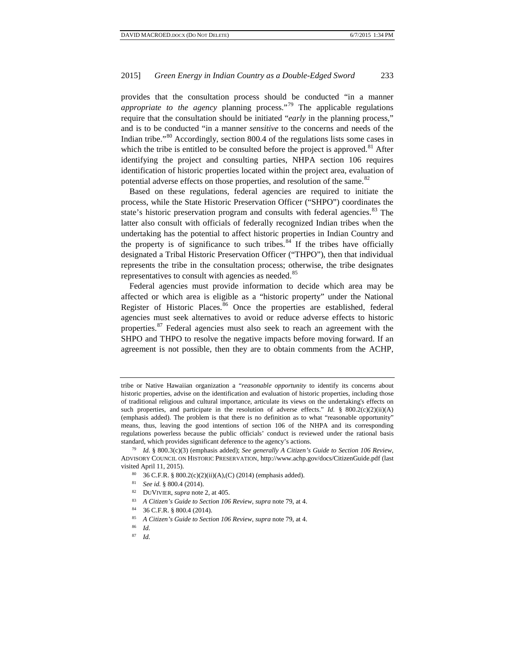provides that the consultation process should be conducted "in a manner *appropriate to the agency* planning process."[79](#page-10-0) The applicable regulations require that the consultation should be initiated "*early* in the planning process," and is to be conducted "in a manner *sensitive* to the concerns and needs of the Indian tribe."[80](#page-10-1) Accordingly, section 800.4 of the regulations lists some cases in which the tribe is entitled to be consulted before the project is approved.<sup>[81](#page-10-2)</sup> After identifying the project and consulting parties, NHPA section 106 requires identification of historic properties located within the project area, evaluation of potential adverse effects on those properties, and resolution of the same.<sup>[82](#page-10-3)</sup>

Based on these regulations, federal agencies are required to initiate the process, while the State Historic Preservation Officer ("SHPO") coordinates the state's historic preservation program and consults with federal agencies.<sup>[83](#page-10-4)</sup> The latter also consult with officials of federally recognized Indian tribes when the undertaking has the potential to affect historic properties in Indian Country and the property is of significance to such tribes. $84$  If the tribes have officially designated a Tribal Historic Preservation Officer ("THPO"), then that individual represents the tribe in the consultation process; otherwise, the tribe designates representatives to consult with agencies as needed.<sup>[85](#page-10-6)</sup>

Federal agencies must provide information to decide which area may be affected or which area is eligible as a "historic property" under the National Register of Historic Places.<sup>[86](#page-10-7)</sup> Once the properties are established, federal agencies must seek alternatives to avoid or reduce adverse effects to historic properties.[87](#page-10-8) Federal agencies must also seek to reach an agreement with the SHPO and THPO to resolve the negative impacts before moving forward. If an agreement is not possible, then they are to obtain comments from the ACHP,

- <span id="page-10-4"></span><sup>82</sup> DUVIVIER, *supra* note 2, at 405.
- <sup>83</sup> *A Citizen's Guide to Section 106 Review*, *supra* note 79, at 4.
- <span id="page-10-6"></span><span id="page-10-5"></span>
- <sup>84</sup> 36 C.F.R. § 800.4 (2014). 85 *A Citizen's Guide to Section 106 Review, supra* note 79, at 4.
- <span id="page-10-7"></span><sup>86</sup> *Id.*
- <span id="page-10-8"></span><sup>87</sup> *Id.*

tribe or Native Hawaiian organization a "*reasonable opportunity* to identify its concerns about historic properties, advise on the identification and evaluation of historic properties, including those of traditional religious and cultural importance, articulate its views on the undertaking's effects on such properties, and participate in the resolution of adverse effects." *Id.* § 800.2(c)(2)(ii)(A) (emphasis added). The problem is that there is no definition as to what "reasonable opportunity" means, thus, leaving the good intentions of section 106 of the NHPA and its corresponding regulations powerless because the public officials' conduct is reviewed under the rational basis standard, which provides significant deference to the agency's actions.

<span id="page-10-3"></span><span id="page-10-2"></span><span id="page-10-1"></span><span id="page-10-0"></span><sup>79</sup> *Id.* § 800.3(c)(3) (emphasis added); *See generally A Citizen's Guide to Section 106 Review*, ADVISORY COUNCIL ON HISTORIC PRESERVATION, http://www.achp.gov/docs/CitizenGuide.pdf (last visited April 11, 2015).<br><sup>80</sup> 36 C.F.R. § 800.2(c)(2)(ii)(A),(C) (2014) (emphasis added).

<sup>81</sup> *See id.* § 800.4 (2014).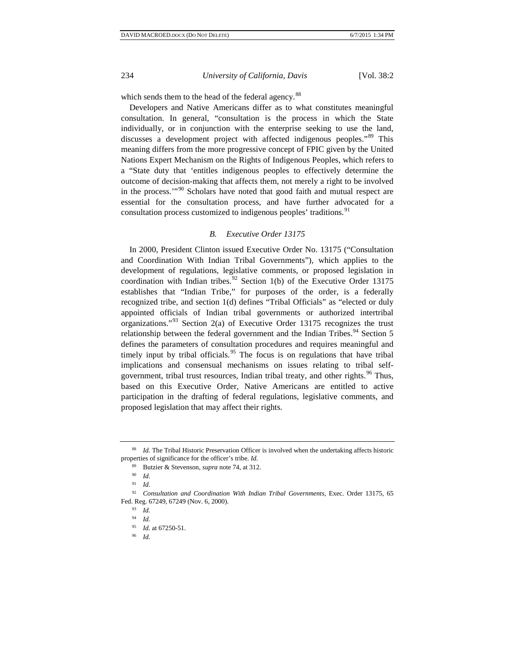which sends them to the head of the federal agency.<sup>[88](#page-11-0)</sup>

Developers and Native Americans differ as to what constitutes meaningful consultation. In general, "consultation is the process in which the State individually, or in conjunction with the enterprise seeking to use the land, discusses a development project with affected indigenous peoples."<sup>[89](#page-11-1)</sup> This meaning differs from the more progressive concept of FPIC given by the United Nations Expert Mechanism on the Rights of Indigenous Peoples, which refers to a "State duty that 'entitles indigenous peoples to effectively determine the outcome of decision-making that affects them, not merely a right to be involved in the process.'"[90](#page-11-2) Scholars have noted that good faith and mutual respect are essential for the consultation process, and have further advocated for a consultation process customized to indigenous peoples' traditions.<sup>[91](#page-11-3)</sup>

#### *B. Executive Order 13175*

In 2000, President Clinton issued Executive Order No. 13175 ("Consultation and Coordination With Indian Tribal Governments"), which applies to the development of regulations, legislative comments, or proposed legislation in coordination with Indian tribes.<sup>[92](#page-11-4)</sup> Section 1(b) of the Executive Order 13175 establishes that "Indian Tribe," for purposes of the order, is a federally recognized tribe, and section 1(d) defines "Tribal Officials" as "elected or duly appointed officials of Indian tribal governments or authorized intertribal organizations."<sup>[93](#page-11-5)</sup> Section 2(a) of Executive Order 13175 recognizes the trust relationship between the federal government and the Indian Tribes.<sup>[94](#page-11-6)</sup> Section 5 defines the parameters of consultation procedures and requires meaningful and timely input by tribal officials.<sup>[95](#page-11-7)</sup> The focus is on regulations that have tribal implications and consensual mechanisms on issues relating to tribal self-government, tribal trust resources, Indian tribal treaty, and other rights.<sup>[96](#page-11-8)</sup> Thus, based on this Executive Order, Native Americans are entitled to active participation in the drafting of federal regulations, legislative comments, and proposed legislation that may affect their rights.

<span id="page-11-1"></span><span id="page-11-0"></span><sup>88</sup> *Id.* The Tribal Historic Preservation Officer is involved when the undertaking affects historic properties of significance for the officer's tribe. *Id.*

<sup>89</sup> Butzier & Stevenson, *supra* note 74, at 312.

<sup>90</sup> *Id.*

<sup>91</sup> *Id.*

<span id="page-11-8"></span><span id="page-11-7"></span><span id="page-11-6"></span><span id="page-11-5"></span><span id="page-11-4"></span><span id="page-11-3"></span><span id="page-11-2"></span><sup>92</sup> *Consultation and Coordination With Indian Tribal Governments*, Exec. Order 13175, 65 Fed. Reg. 67249, 67249 (Nov. 6, 2000).

<sup>93</sup> *Id.*

<sup>94</sup> *Id.*

<sup>95</sup> *Id.* at 67250-51. 96 *Id.*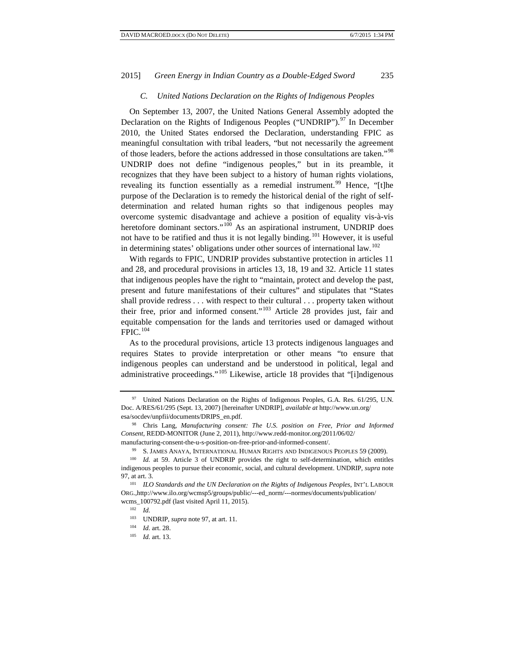### *C. United Nations Declaration on the Rights of Indigenous Peoples*

On September 13, 2007, the United Nations General Assembly adopted the Declaration on the Rights of Indigenous Peoples ("UNDRIP").<sup>[97](#page-12-0)</sup> In December 2010, the United States endorsed the Declaration, understanding FPIC as meaningful consultation with tribal leaders, "but not necessarily the agreement of those leaders, before the actions addressed in those consultations are taken."[98](#page-12-1) UNDRIP does not define "indigenous peoples," but in its preamble, it recognizes that they have been subject to a history of human rights violations, revealing its function essentially as a remedial instrument.<sup>[99](#page-12-2)</sup> Hence, "[t]he purpose of the Declaration is to remedy the historical denial of the right of selfdetermination and related human rights so that indigenous peoples may overcome systemic disadvantage and achieve a position of equality vis-à-vis heretofore dominant sectors."<sup>[100](#page-12-3)</sup> As an aspirational instrument, UNDRIP does not have to be ratified and thus it is not legally binding.<sup>[101](#page-12-4)</sup> However, it is useful in determining states' obligations under other sources of international law.<sup>[102](#page-12-5)</sup>

With regards to FPIC, UNDRIP provides substantive protection in articles 11 and 28, and procedural provisions in articles 13, 18, 19 and 32. Article 11 states that indigenous peoples have the right to "maintain, protect and develop the past, present and future manifestations of their cultures" and stipulates that "States shall provide redress . . . with respect to their cultural . . . property taken without their free, prior and informed consent."[103](#page-12-6) Article 28 provides just, fair and equitable compensation for the lands and territories used or damaged without FPIC.[104](#page-12-7)

As to the procedural provisions, article 13 protects indigenous languages and requires States to provide interpretation or other means "to ensure that indigenous peoples can understand and be understood in political, legal and administrative proceedings."<sup>[105](#page-12-8)</sup> Likewise, article 18 provides that "[i]ndigenous

<span id="page-12-0"></span><sup>97</sup> United Nations Declaration on the Rights of Indigenous Peoples, G.A. Res. 61/295, U.N. Doc. A/RES/61/295 (Sept. 13, 2007) [hereinafter UNDRIP], *available at* http://www.un.org/ esa/socdev/unpfii/documents/DRIPS\_en.pdf.

<span id="page-12-1"></span><sup>98</sup> Chris Lang, *Manufacturing consent: The U.S. position on Free, Prior and Informed Consent*, REDD-MONITOR (June 2, 2011), http://www.redd-monitor.org/2011/06/02/

<span id="page-12-2"></span>manufacturing-consent-the-u-s-position-on-free-prior-and-informed-consent/. 99 S. JAMES ANAYA, INTERNATIONAL HUMAN RIGHTS AND INDIGENOUS PEOPLES 59 (2009).

<span id="page-12-3"></span><sup>&</sup>lt;sup>100</sup> *Id.* at 59. Article 3 of UNDRIP provides the right to self-determination, which entitles indigenous peoples to pursue their economic, social, and cultural development. UNDRIP, *supra* note 97, at art. 3.

<span id="page-12-7"></span><span id="page-12-6"></span><span id="page-12-5"></span><span id="page-12-4"></span><sup>101</sup> *ILO Standards and the UN Declaration on the Rights of Indigenous Peoples*, INT'L LABOUR ORG.,http://www.ilo.org/wcmsp5/groups/public/---ed\_norm/---normes/documents/publication/ wcms\_100792.pdf (last visited April 11, 2015).

<sup>102</sup> *Id.*

<sup>&</sup>lt;sup>103</sup> UNDRIP, *supra* note 97, at art. 11.<br><sup>104</sup> *L* art. 28

<span id="page-12-8"></span><sup>104</sup> *Id.* art. 28. 105 *Id.* art. 13.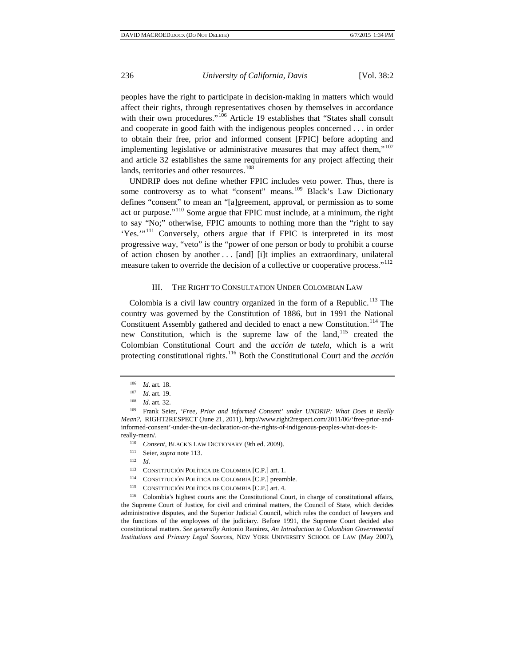peoples have the right to participate in decision-making in matters which would affect their rights, through representatives chosen by themselves in accordance with their own procedures."<sup>[106](#page-13-0)</sup> Article 19 establishes that "States shall consult and cooperate in good faith with the indigenous peoples concerned . . . in order to obtain their free, prior and informed consent [FPIC] before adopting and implementing legislative or administrative measures that may affect them,"<sup>[107](#page-13-1)</sup> and article 32 establishes the same requirements for any project affecting their lands, territories and other resources.<sup>[108](#page-13-2)</sup>

UNDRIP does not define whether FPIC includes veto power. Thus, there is some controversy as to what "consent" means.<sup>[109](#page-13-3)</sup> Black's Law Dictionary defines "consent" to mean an "[a]greement, approval, or permission as to some act or purpose."[110](#page-13-4) Some argue that FPIC must include, at a minimum, the right to say "No;" otherwise, FPIC amounts to nothing more than the "right to say 'Yes.'"<sup>[111](#page-13-5)</sup> Conversely, others argue that if FPIC is interpreted in its most progressive way, "veto" is the "power of one person or body to prohibit a course of action chosen by another . . . [and] [i]t implies an extraordinary, unilateral measure taken to override the decision of a collective or cooperative process."<sup>[112](#page-13-6)</sup>

#### III. THE RIGHT TO CONSULTATION UNDER COLOMBIAN LAW

Colombia is a civil law country organized in the form of a Republic.<sup>[113](#page-13-7)</sup> The country was governed by the Constitution of 1886, but in 1991 the National Constituent Assembly gathered and decided to enact a new Constitution.<sup>[114](#page-13-8)</sup> The new Constitution, which is the supreme law of the land,<sup>[115](#page-13-9)</sup> created the Colombian Constitutional Court and the *acción de tutela*, which is a writ protecting constitutional rights.[116](#page-13-10) Both the Constitutional Court and the *acción* 

<sup>106</sup> *Id.* art. 18.<br><sup>107</sup> *Id.* art. 19.

<span id="page-13-4"></span><span id="page-13-3"></span><span id="page-13-2"></span><span id="page-13-1"></span><span id="page-13-0"></span><sup>&</sup>lt;sup>108</sup> *Id.* art. 32.<br><sup>109</sup> Frank Seier, *'Free, Prior and Informed Consent' under UNDRIP: What Does it Really Mean?*, RIGHT2RESPECT (June 21, 2011), http://www.right2respect.com/2011/06/'free-prior-andinformed-consent'-under-the-un-declaration-on-the-rights-of-indigenous-peoples-what-does-itreally-mean/.

<sup>&</sup>lt;sup>110</sup> *Consent*, BLACK'S LAW DICTIONARY (9th ed. 2009).

<sup>111</sup> Seier, *supra* note 113. 112 *Id.*

<sup>113</sup> CONSTITUCIÓN POLÍTICA DE COLOMBIA [C.P.] art. 1.

<sup>114</sup> CONSTITUCIÓN POLÍTICA DE COLOMBIA [C.P.] preamble.

<sup>115</sup> CONSTITUCIÓN POLÍTICA DE COLOMBIA [C.P.] art. 4.

<span id="page-13-10"></span><span id="page-13-9"></span><span id="page-13-8"></span><span id="page-13-7"></span><span id="page-13-6"></span><span id="page-13-5"></span><sup>116</sup> Colombia's highest courts are: the Constitutional Court, in charge of constitutional affairs, the Supreme Court of Justice, for civil and criminal matters, the Council of State, which decides administrative disputes, and the Superior Judicial Council, which rules the conduct of lawyers and the functions of the employees of the judiciary. Before 1991, the Supreme Court decided also constitutional matters. *See generally* Antonio Ramirez, *An Introduction to Colombian Governmental Institutions and Primary Legal Sources*, NEW YORK UNIVERSITY SCHOOL OF LAW (May 2007),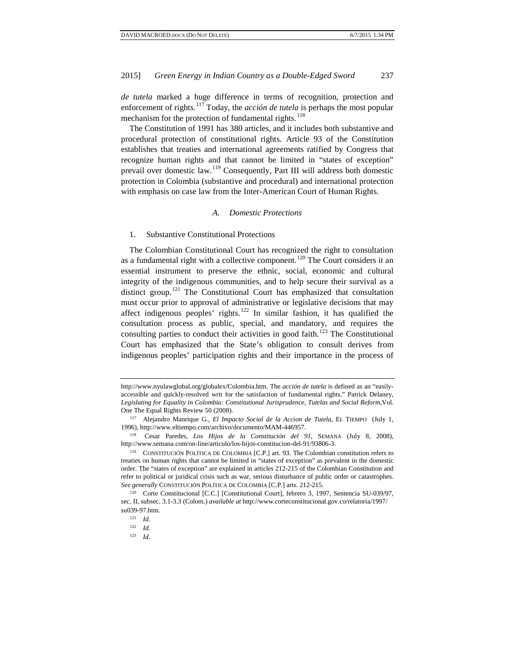*de tutela* marked a huge difference in terms of recognition, protection and enforcement of rights.<sup>[117](#page-14-0)</sup> Today, the *acción de tutela* is perhaps the most popular mechanism for the protection of fundamental rights.<sup>[118](#page-14-1)</sup>

The Constitution of 1991 has 380 articles, and it includes both substantive and procedural protection of constitutional rights. Article 93 of the Constitution establishes that treaties and international agreements ratified by Congress that recognize human rights and that cannot be limited in "states of exception" prevail over domestic law.[119](#page-14-2) Consequently, Part III will address both domestic protection in Colombia (substantive and procedural) and international protection with emphasis on case law from the Inter-American Court of Human Rights.

#### *A. Domestic Protections*

#### 1. Substantive Constitutional Protections

The Colombian Constitutional Court has recognized the right to consultation as a fundamental right with a collective component.<sup>[120](#page-14-3)</sup> The Court considers it an essential instrument to preserve the ethnic, social, economic and cultural integrity of the indigenous communities, and to help secure their survival as a distinct group.[121](#page-14-4) The Constitutional Court has emphasized that consultation must occur prior to approval of administrative or legislative decisions that may affect indigenous peoples' rights.<sup>[122](#page-14-5)</sup> In similar fashion, it has qualified the consultation process as public, special, and mandatory, and requires the consulting parties to conduct their activities in good faith.<sup>[123](#page-14-6)</sup> The Constitutional Court has emphasized that the State's obligation to consult derives from indigenous peoples' participation rights and their importance in the process of

http://www.nyulawglobal.org/globalex/Colombia.htm. The *acción de tutela* is defined as an "easilyaccessible and quickly-resolved writ for the satisfaction of fundamental rights." Patrick Delaney, *Legislating for Equality in Colombia: Constitutional Jurisprudence, Tutelas and Social Reform*,Vol. One The Equal Rights Review 50 (2008).

<sup>117</sup> Alejandro Manrique G., *El Impacto Social de la Accion de Tutela*, EL TIEMPO (July 1, 1996), http://www.eltiempo.com/archivo/documento/MAM-446957.

<span id="page-14-1"></span><span id="page-14-0"></span><sup>118</sup> Cesar Paredes, *Los Hijos de la Constitución del 91*, SEMANA (July 8, 2008), http://www.semana.com/on-line/articulo/los-hijos-constitucion-del-91/93806-3.

<span id="page-14-2"></span><sup>119</sup> CONSTITUCIÓN POLÍTICA DE COLOMBIA [C.P.] art. 93. The Colombian constitution refers to treaties on human rights that cannot be limited in "states of exception" as prevalent in the domestic order. The "states of exception" are explained in articles 212-215 of the Colombian Constitution and refer to political or juridical crisis such as war, serious disturbance of public order or catastrophes. *See generally* CONSTITUCIÓN POLÍTICA DE COLOMBIA [C.P.] arts. 212-215.

<span id="page-14-6"></span><span id="page-14-5"></span><span id="page-14-4"></span><span id="page-14-3"></span><sup>&</sup>lt;sup>120</sup> Corte Constitucional [C.C.] [Constitutional Court], febrero 3, 1997, Sentencia SU-039/97, sec. II, subsec. 3.1-3.3 (Colom.) *available at* http://www.corteconstitucional.gov.co/relatoria/1997/ su039-97.htm.

<sup>121</sup> *Id.*

<sup>122</sup> *Id.*

<sup>123</sup> *Id.*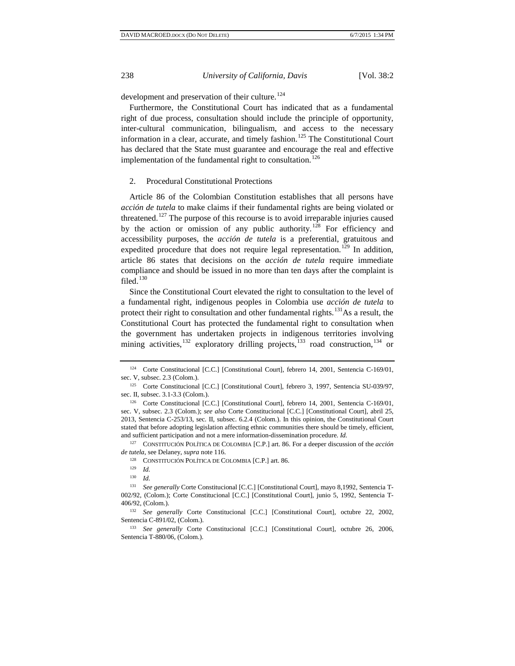development and preservation of their culture.<sup>[124](#page-15-0)</sup>

Furthermore, the Constitutional Court has indicated that as a fundamental right of due process, consultation should include the principle of opportunity, inter-cultural communication, bilingualism, and access to the necessary information in a clear, accurate, and timely fashion.<sup>[125](#page-15-1)</sup> The Constitutional Court has declared that the State must guarantee and encourage the real and effective implementation of the fundamental right to consultation.<sup>[126](#page-15-2)</sup>

#### 2. Procedural Constitutional Protections

Article 86 of the Colombian Constitution establishes that all persons have *acción de tutela* to make claims if their fundamental rights are being violated or threatened.<sup>[127](#page-15-3)</sup> The purpose of this recourse is to avoid irreparable injuries caused by the action or omission of any public authority.<sup>[128](#page-15-4)</sup> For efficiency and accessibility purposes, the *acción de tutela* is a preferential, gratuitous and expedited procedure that does not require legal representation.<sup>[129](#page-15-5)</sup> In addition, article 86 states that decisions on the *acción de tutela* require immediate compliance and should be issued in no more than ten days after the complaint is filed. $130$ 

Since the Constitutional Court elevated the right to consultation to the level of a fundamental right, indigenous peoples in Colombia use *acción de tutela* to protect their right to consultation and other fundamental rights.<sup>131</sup>As a result, the Constitutional Court has protected the fundamental right to consultation when the government has undertaken projects in indigenous territories involving mining activities,<sup>[132](#page-15-8)</sup> exploratory drilling projects, $133$  road construction, $134$  or

<span id="page-15-4"></span><span id="page-15-3"></span><sup>127</sup> CONSTITUCIÓN POLÍTICA DE COLOMBIA [C.P.] art. 86. For a deeper discussion of the *acción de tutela*, see Delaney, *supra* note 116.<br><sup>128</sup> CONSTITUCIÓN POLÍTICA DE COLOMBIA [C.P.] art. 86.<br><sup>129</sup> *Id* 

<span id="page-15-10"></span><span id="page-15-0"></span><sup>124</sup> Corte Constitucional [C.C.] [Constitutional Court], febrero 14, 2001, Sentencia C-169/01, sec. V, subsec. 2.3 (Colom.). 125 Corte Constitucional [C.C.] [Constitutional Court], febrero 3, 1997, Sentencia SU-039/97,

<span id="page-15-1"></span>sec. II, subsec. 3.1-3.3 (Colom.). 126 Corte Constitucional [C.C.] [Constitutional Court], febrero 14, 2001, Sentencia C-169/01,

<span id="page-15-2"></span>sec. V, subsec. 2.3 (Colom.); *see also* Corte Constitucional [C.C.] [Constitutional Court], abril 25, 2013, Sentencia C-253/13, sec. II, subsec. 6.2.4 (Colom.). In this opinion, the Constitutional Court stated that before adopting legislation affecting ethnic communities there should be timely, efficient, and sufficient participation and not a mere information-dissemination procedure. *Id.*

<sup>130</sup> *Id.*

<span id="page-15-7"></span><span id="page-15-6"></span><span id="page-15-5"></span><sup>131</sup> *See generally* Corte Constitucional [C.C.] [Constitutional Court], mayo 8,1992, Sentencia T-002/92, (Colom.); Corte Constitucional [C.C.] [Constitutional Court], junio 5, 1992, Sentencia T-406/92, (Colom.). 132 *See generally* Corte Constitucional [C.C.] [Constitutional Court], octubre 22, 2002,

<span id="page-15-8"></span>Sentencia C-891/02, (Colom.).

<span id="page-15-9"></span><sup>133</sup> *See generally* Corte Constitucional [C.C.] [Constitutional Court], octubre 26, 2006, Sentencia T-880/06, (Colom.).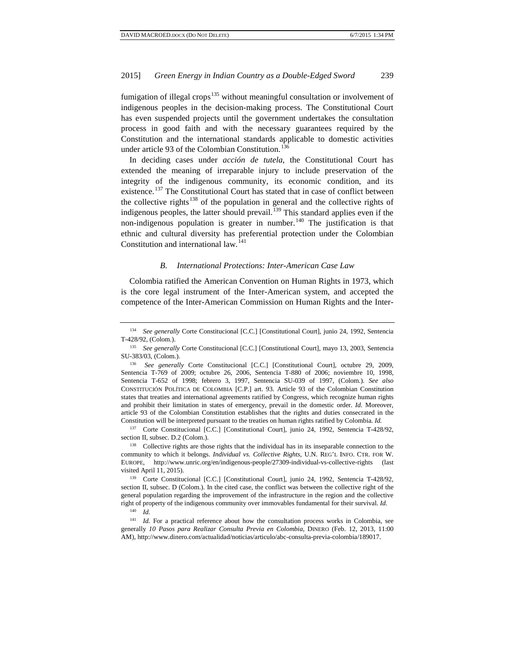fumigation of illegal crops<sup>[135](#page-16-0)</sup> without meaningful consultation or involvement of indigenous peoples in the decision-making process. The Constitutional Court has even suspended projects until the government undertakes the consultation process in good faith and with the necessary guarantees required by the Constitution and the international standards applicable to domestic activities under article 93 of the Colombian Constitution.<sup>[136](#page-16-1)</sup>

In deciding cases under *acción de tutela*, the Constitutional Court has extended the meaning of irreparable injury to include preservation of the integrity of the indigenous community, its economic condition, and its existence.<sup>[137](#page-16-2)</sup> The Constitutional Court has stated that in case of conflict between the collective rights<sup>[138](#page-16-3)</sup> of the population in general and the collective rights of indigenous peoples, the latter should prevail.<sup>[139](#page-16-4)</sup> This standard applies even if the non-indigenous population is greater in number.<sup>[140](#page-16-5)</sup> The justification is that ethnic and cultural diversity has preferential protection under the Colombian Constitution and international law.<sup>[141](#page-16-6)</sup>

#### *B. International Protections: Inter-American Case Law*

Colombia ratified the American Convention on Human Rights in 1973, which is the core legal instrument of the Inter-American system, and accepted the competence of the Inter-American Commission on Human Rights and the Inter-

<span id="page-16-2"></span><sup>137</sup> Corte Constitucional [C.C.] [Constitutional Court], junio 24, 1992, Sentencia T-428/92, section II, subsec. D.2 (Colom.).<br><sup>138</sup> Collective rights are those rights that the individual has in its inseparable connection to the

<span id="page-16-3"></span>community to which it belongs. *Individual vs. Collective Rights*, U.N. REG'L INFO. CTR. FOR W. EUROPE, http://www.unric.org/en/indigenous-people/27309-individual-vs-collective-rights (last visited April 11, 2015).

<span id="page-16-4"></span><sup>139</sup> Corte Constitucional [C.C.] [Constitutional Court], junio 24, 1992, Sentencia T-428/92, section II, subsec. D (Colom.). In the cited case, the conflict was between the collective right of the general population regarding the improvement of the infrastructure in the region and the collective right of property of the indigenous community over immovables fundamental for their survival. *Id.*

<sup>134</sup> *See generally* Corte Constitucional [C.C.] [Constitutional Court], junio 24, 1992, Sentencia T-428/92, (Colom.).

<span id="page-16-0"></span><sup>135</sup> *See generally* Corte Constitucional [C.C.] [Constitutional Court], mayo 13, 2003, Sentencia SU-383/03, (Colom.).

<span id="page-16-1"></span><sup>136</sup> *See generally* Corte Constitucional [C.C.] [Constitutional Court], octubre 29, 2009, Sentencia T-769 of 2009; octubre 26, 2006, Sentencia T-880 of 2006; noviembre 10, 1998, Sentencia T-652 of 1998; febrero 3, 1997, Sentencia SU-039 of 1997, (Colom.). *See also* CONSTITUCIÓN POLÍTICA DE COLOMBIA [C.P.] art. 93. Article 93 of the Colombian Constitution states that treaties and international agreements ratified by Congress, which recognize human rights and prohibit their limitation in states of emergency, prevail in the domestic order. *Id.* Moreover, article 93 of the Colombian Constitution establishes that the rights and duties consecrated in the Constitution will be interpreted pursuant to the treaties on human rights ratified by Colombia. *Id.*

<sup>140</sup> *Id.*

<span id="page-16-6"></span><span id="page-16-5"></span><sup>&</sup>lt;sup>141</sup> *Id.* For a practical reference about how the consultation process works in Colombia, see generally *10 Pasos para Realizar Consulta Previa en Colombia*, DINERO (Feb. 12, 2013, 11:00 AM), http://www.dinero.com/actualidad/noticias/articulo/abc-consulta-previa-colombia/189017.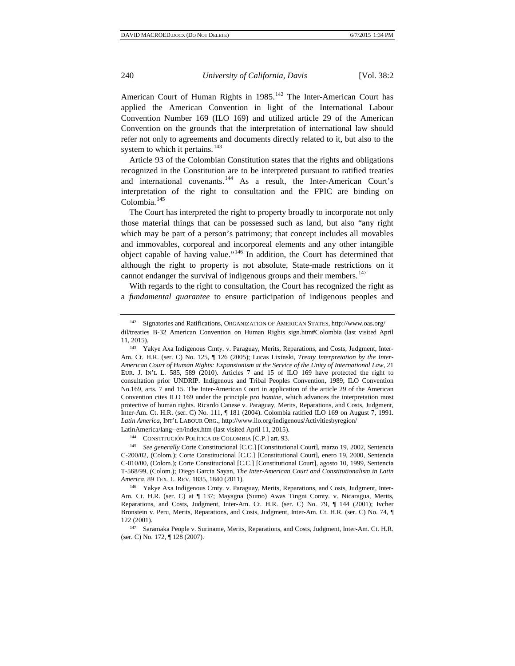American Court of Human Rights in 1985.<sup>[142](#page-17-0)</sup> The Inter-American Court has applied the American Convention in light of the International Labour Convention Number 169 (ILO 169) and utilized article 29 of the American Convention on the grounds that the interpretation of international law should refer not only to agreements and documents directly related to it, but also to the system to which it pertains. $143$ 

Article 93 of the Colombian Constitution states that the rights and obligations recognized in the Constitution are to be interpreted pursuant to ratified treaties and international covenants.<sup>[144](#page-17-2)</sup> As a result, the Inter-American Court's interpretation of the right to consultation and the FPIC are binding on Colombia. $145$ 

The Court has interpreted the right to property broadly to incorporate not only those material things that can be possessed such as land, but also "any right which may be part of a person's patrimony; that concept includes all movables and immovables, corporeal and incorporeal elements and any other intangible object capable of having value."[146](#page-17-4) In addition, the Court has determined that although the right to property is not absolute, State-made restrictions on it cannot endanger the survival of indigenous groups and their members.<sup>[147](#page-17-5)</sup>

With regards to the right to consultation, the Court has recognized the right as a *fundamental guarantee* to ensure participation of indigenous peoples and

<sup>144</sup> CONSTITUCIÓN POLÍTICA DE COLOMBIA [C.P.] art. 93.

<span id="page-17-3"></span><span id="page-17-2"></span><sup>145</sup> *See generally* Corte Constitucional [C.C.] [Constitutional Court], marzo 19, 2002, Sentencia C-200/02, (Colom.); Corte Constitucional [C.C.] [Constitutional Court], enero 19, 2000, Sentencia C-010/00, (Colom.); Corte Constitucional [C.C.] [Constitutional Court], agosto 10, 1999, Sentencia T-568/99, (Colom.); Diego Garcia Sayan, *The Inter-American Court and Constitutionalism in Latin America*, 89 TEX. L. REV. 1835, 1840 (2011).<br><sup>146</sup> Yakye Axa Indigenous Cmty. v. Paraguay, Merits, Reparations, and Costs, Judgment, Inter-

<span id="page-17-4"></span>Am. Ct. H.R. (ser. C) at  $\P$  137; Mayagna (Sumo) Awas Tingni Comty. v. Nicaragua, Merits, Reparations, and Costs, Judgment, Inter-Am. Ct. H.R. (ser. C) No. 79, ¶ 144 (2001); Ivcher Bronstein v. Peru, Merits, Reparations, and Costs, Judgment, Inter-Am. Ct. H.R. (ser. C) No. 74,  $\P$  122 (2001).

<span id="page-17-5"></span>147 Saramaka People v. Suriname, Merits, Reparations, and Costs, Judgment, Inter-Am. Ct. H.R. (ser. C) No. 172, ¶ 128 (2007).

<span id="page-17-0"></span><sup>142</sup> Signatories and Ratifications, ORGANIZATION OF AMERICAN STATES, http://www.oas.org/ dil/treaties\_B-32\_American\_Convention\_on\_Human\_Rights\_sign.htm#Colombia (last visited April 11, 2015).

<span id="page-17-1"></span><sup>143</sup> Yakye Axa Indigenous Cmty. v. Paraguay, Merits, Reparations, and Costs, Judgment, Inter-Am. Ct. H.R. (ser. C) No. 125, ¶ 126 (2005); Lucas Lixinski, *Treaty Interpretation by the Inter-American Court of Human Rights: Expansionism at the Service of the Unity of International Law*, 21 EUR. J. IN'L L. 585, 589 (2010). Articles 7 and 15 of ILO 169 have protected the right to consultation prior UNDRIP. Indigenous and Tribal Peoples Convention, 1989, ILO Convention No.169, arts. 7 and 15. The Inter-American Court in application of the article 29 of the American Convention cites ILO 169 under the principle *pro homine*, which advances the interpretation most protective of human rights. Ricardo Canese v. Paraguay, Merits, Reparations, and Costs, Judgment, Inter-Am. Ct. H.R. (ser. C) No. 111, ¶ 181 (2004). Colombia ratified ILO 169 on August 7, 1991. *Latin America*, INT'L LABOUR ORG., http://www.ilo.org/indigenous/Activitiesbyregion/ LatinAmerica/lang--en/index.htm (last visited April 11, 2015).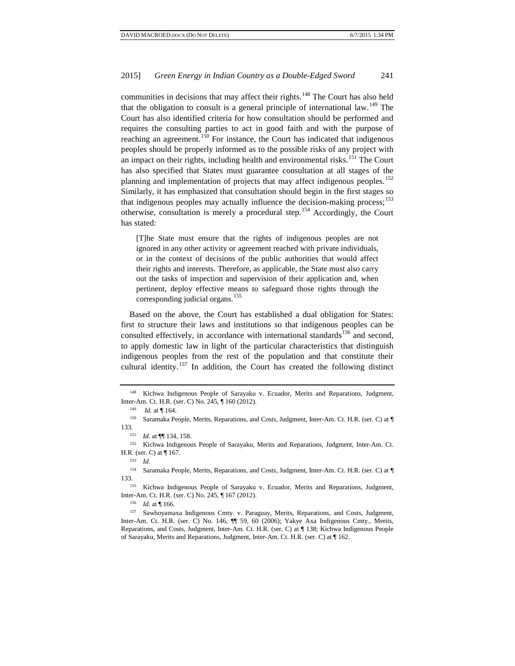communities in decisions that may affect their rights.<sup>[148](#page-18-0)</sup> The Court has also held that the obligation to consult is a general principle of international law.<sup>[149](#page-18-1)</sup> The Court has also identified criteria for how consultation should be performed and requires the consulting parties to act in good faith and with the purpose of reaching an agreement.<sup>[150](#page-18-2)</sup> For instance, the Court has indicated that indigenous peoples should be properly informed as to the possible risks of any project with an impact on their rights, including health and environmental risks.<sup>[151](#page-18-3)</sup> The Court has also specified that States must guarantee consultation at all stages of the planning and implementation of projects that may affect indigenous peoples.<sup>[152](#page-18-4)</sup> Similarly, it has emphasized that consultation should begin in the first stages so that indigenous peoples may actually influence the decision-making process;  $^{153}$  $^{153}$  $^{153}$ otherwise, consultation is merely a procedural step.[154](#page-18-6) Accordingly, the Court has stated:

[T]he State must ensure that the rights of indigenous peoples are not ignored in any other activity or agreement reached with private individuals, or in the context of decisions of the public authorities that would affect their rights and interests. Therefore, as applicable, the State must also carry out the tasks of inspection and supervision of their application and, when pertinent, deploy effective means to safeguard those rights through the corresponding judicial organs.<sup>[155](#page-18-7)</sup>

Based on the above, the Court has established a dual obligation for States: first to structure their laws and institutions so that indigenous peoples can be consulted effectively, in accordance with international standards<sup>[156](#page-18-8)</sup> and second, to apply domestic law in light of the particular characteristics that distinguish indigenous peoples from the rest of the population and that constitute their cultural identity.[157](#page-18-9) In addition, the Court has created the following distinct

<span id="page-18-6"></span><span id="page-18-5"></span><sup>154</sup> Saramaka People, Merits, Reparations, and Costs, Judgment, Inter-Am. Ct. H.R. (ser. C) at ¶ 133.155 Kichwa Indigenous People of Sarayaku v. Ecuador, Merits and Reparations, Judgment,

<span id="page-18-0"></span><sup>148</sup> Kichwa Indigenous People of Sarayaku v. Ecuador, Merits and Reparations, Judgment, Inter-Am. Ct. H.R. (ser. C) No. 245, ¶ 160 (2012).

<sup>&</sup>lt;sup>149</sup> *Id.* at  $\P$  164.

<span id="page-18-2"></span><span id="page-18-1"></span><sup>150</sup> Saramaka People, Merits, Reparations, and Costs, Judgment, Inter-Am. Ct. H.R. (ser. C) at ¶ 133*.*

<sup>151</sup> *Id.* at  $\P$  134, 158.<br><sup>152</sup> Kichwa Indigeno

<span id="page-18-4"></span><span id="page-18-3"></span>Kichwa Indigenous People of Sarayaku, Merits and Reparations, Judgment, Inter-Am. Ct. H.R. (ser. C) at ¶ 167.

<sup>153</sup> *Id.*

<span id="page-18-7"></span>Inter-Am. Ct. H.R. (ser. C) No. 245, ¶ 167 (2012).

<span id="page-18-9"></span><span id="page-18-8"></span><sup>&</sup>lt;sup>156</sup> *Id.* at ¶ 166.<br><sup>157</sup> Sawhoyamaxa Indigenous Cmty. v. Paraguay, Merits, Reparations, and Costs, Judgment, Inter-Am. Ct. H.R. (ser. C) No. 146, ¶¶ 59, 60 (2006); Yakye Axa Indigenous Cmty., Merits, Reparations, and Costs, Judgment, Inter-Am. Ct. H.R. (ser. C) at ¶ 138; Kichwa Indigenous People of Sarayaku, Merits and Reparations, Judgment, Inter-Am. Ct. H.R. (ser. C) at ¶ 162.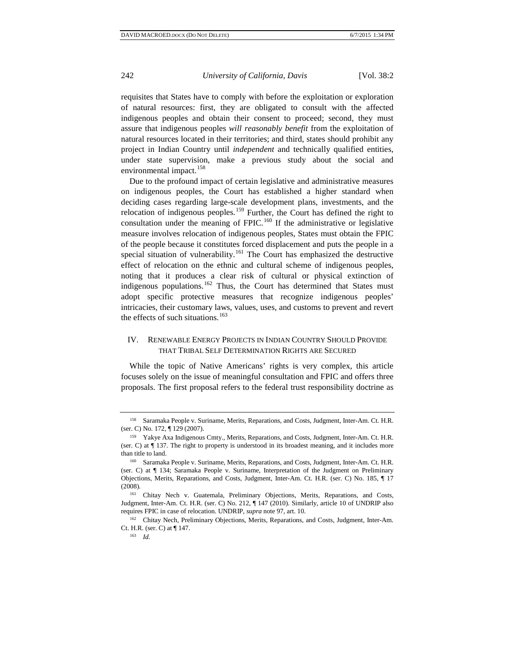requisites that States have to comply with before the exploitation or exploration of natural resources: first, they are obligated to consult with the affected indigenous peoples and obtain their consent to proceed; second, they must assure that indigenous peoples *will reasonably benefit* from the exploitation of natural resources located in their territories; and third, states should prohibit any project in Indian Country until *independent* and technically qualified entities, under state supervision, make a previous study about the social and environmental impact.<sup>[158](#page-19-0)</sup>

Due to the profound impact of certain legislative and administrative measures on indigenous peoples, the Court has established a higher standard when deciding cases regarding large-scale development plans, investments, and the relocation of indigenous peoples.<sup>[159](#page-19-1)</sup> Further, the Court has defined the right to consultation under the meaning of FPIC.<sup>[160](#page-19-2)</sup> If the administrative or legislative measure involves relocation of indigenous peoples, States must obtain the FPIC of the people because it constitutes forced displacement and puts the people in a special situation of vulnerability.<sup>[161](#page-19-3)</sup> The Court has emphasized the destructive effect of relocation on the ethnic and cultural scheme of indigenous peoples, noting that it produces a clear risk of cultural or physical extinction of indigenous populations.<sup>[162](#page-19-4)</sup> Thus, the Court has determined that States must adopt specific protective measures that recognize indigenous peoples' intricacies, their customary laws, values, uses, and customs to prevent and revert the effects of such situations.<sup>[163](#page-19-5)</sup>

# IV. RENEWABLE ENERGY PROJECTS IN INDIAN COUNTRY SHOULD PROVIDE THAT TRIBAL SELF DETERMINATION RIGHTS ARE SECURED

While the topic of Native Americans' rights is very complex, this article focuses solely on the issue of meaningful consultation and FPIC and offers three proposals. The first proposal refers to the federal trust responsibility doctrine as

<span id="page-19-0"></span><sup>158</sup> Saramaka People v. Suriname, Merits, Reparations, and Costs, Judgment, Inter-Am. Ct. H.R. (ser. C) No. 172, ¶ 129 (2007).

<span id="page-19-1"></span><sup>&</sup>lt;sup>159</sup> Yakye Axa Indigenous Cmty., Merits, Reparations, and Costs, Judgment, Inter-Am. Ct. H.R. (ser. C) at ¶ 137. The right to property is understood in its broadest meaning, and it includes more than title to land.

<span id="page-19-2"></span><sup>160</sup> Saramaka People v. Suriname, Merits, Reparations, and Costs, Judgment, Inter-Am. Ct. H.R. (ser. C) at ¶ 134; Saramaka People v. Suriname, Interpretation of the Judgment on Preliminary Objections, Merits, Reparations, and Costs, Judgment, Inter-Am. Ct. H.R. (ser. C) No. 185, ¶ 17 (2008).

<span id="page-19-3"></span><sup>161</sup> Chitay Nech v. Guatemala, Preliminary Objections, Merits, Reparations, and Costs, Judgment, Inter-Am. Ct. H.R. (ser. C) No. 212, ¶ 147 (2010). Similarly, article 10 of UNDRIP also requires FPIC in case of relocation. UNDRIP, *supra* note 97, art. 10.<br><sup>162</sup> Chitay Nech, Preliminary Objections, Merits, Reparations, and Costs, Judgment, Inter-Am.

<span id="page-19-5"></span><span id="page-19-4"></span>Ct. H.R. (ser. C) at ¶ 147.

<sup>163</sup> *Id.*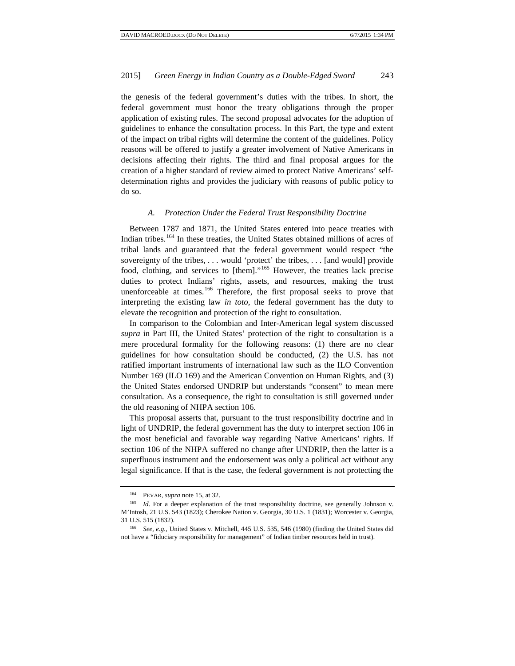the genesis of the federal government's duties with the tribes. In short, the federal government must honor the treaty obligations through the proper application of existing rules. The second proposal advocates for the adoption of guidelines to enhance the consultation process. In this Part, the type and extent of the impact on tribal rights will determine the content of the guidelines. Policy reasons will be offered to justify a greater involvement of Native Americans in decisions affecting their rights. The third and final proposal argues for the creation of a higher standard of review aimed to protect Native Americans' selfdetermination rights and provides the judiciary with reasons of public policy to do so.

#### *A. Protection Under the Federal Trust Responsibility Doctrine*

Between 1787 and 1871, the United States entered into peace treaties with Indian tribes.[164](#page-20-0) In these treaties, the United States obtained millions of acres of tribal lands and guaranteed that the federal government would respect "the sovereignty of the tribes, . . . would 'protect' the tribes, . . . [and would] provide food, clothing, and services to [them]."[165](#page-20-1) However, the treaties lack precise duties to protect Indians' rights, assets, and resources, making the trust unenforceable at times. $166$  Therefore, the first proposal seeks to prove that interpreting the existing law *in toto*, the federal government has the duty to elevate the recognition and protection of the right to consultation.

In comparison to the Colombian and Inter-American legal system discussed *supra* in Part III, the United States' protection of the right to consultation is a mere procedural formality for the following reasons: (1) there are no clear guidelines for how consultation should be conducted, (2) the U.S. has not ratified important instruments of international law such as the ILO Convention Number 169 (ILO 169) and the American Convention on Human Rights, and (3) the United States endorsed UNDRIP but understands "consent" to mean mere consultation. As a consequence, the right to consultation is still governed under the old reasoning of NHPA section 106.

This proposal asserts that, pursuant to the trust responsibility doctrine and in light of UNDRIP, the federal government has the duty to interpret section 106 in the most beneficial and favorable way regarding Native Americans' rights. If section 106 of the NHPA suffered no change after UNDRIP, then the latter is a superfluous instrument and the endorsement was only a political act without any legal significance. If that is the case, the federal government is not protecting the

<sup>164</sup> PEVAR, *supra* note 15, at 32.

<span id="page-20-1"></span><span id="page-20-0"></span><sup>&</sup>lt;sup>165</sup> *Id.* For a deeper explanation of the trust responsibility doctrine, see generally Johnson v. M'Intosh, 21 U.S. 543 (1823); Cherokee Nation v. Georgia, 30 U.S. 1 (1831); Worcester v. Georgia, 31 U.S. 515 (1832).

<span id="page-20-2"></span><sup>166</sup> *See, e.g.*, United States v. Mitchell, 445 U.S. 535, 546 (1980) (finding the United States did not have a "fiduciary responsibility for management" of Indian timber resources held in trust).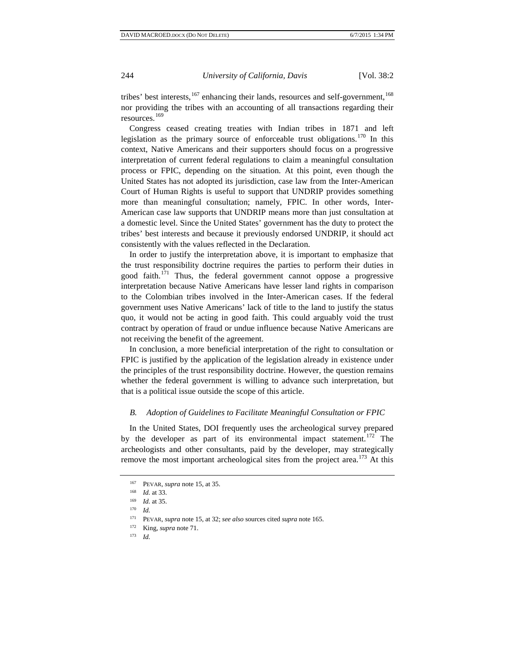tribes' best interests, $^{167}$  $^{167}$  $^{167}$  enhancing their lands, resources and self-government, $^{168}$  $^{168}$  $^{168}$ nor providing the tribes with an accounting of all transactions regarding their resources.<sup>[169](#page-21-2)</sup>

Congress ceased creating treaties with Indian tribes in 1871 and left legislation as the primary source of enforceable trust obligations.<sup>[170](#page-21-3)</sup> In this context, Native Americans and their supporters should focus on a progressive interpretation of current federal regulations to claim a meaningful consultation process or FPIC, depending on the situation. At this point, even though the United States has not adopted its jurisdiction, case law from the Inter-American Court of Human Rights is useful to support that UNDRIP provides something more than meaningful consultation; namely, FPIC. In other words, Inter-American case law supports that UNDRIP means more than just consultation at a domestic level. Since the United States' government has the duty to protect the tribes' best interests and because it previously endorsed UNDRIP, it should act consistently with the values reflected in the Declaration.

In order to justify the interpretation above, it is important to emphasize that the trust responsibility doctrine requires the parties to perform their duties in good faith.<sup>[171](#page-21-4)</sup> Thus, the federal government cannot oppose a progressive interpretation because Native Americans have lesser land rights in comparison to the Colombian tribes involved in the Inter-American cases. If the federal government uses Native Americans' lack of title to the land to justify the status quo, it would not be acting in good faith. This could arguably void the trust contract by operation of fraud or undue influence because Native Americans are not receiving the benefit of the agreement.

In conclusion, a more beneficial interpretation of the right to consultation or FPIC is justified by the application of the legislation already in existence under the principles of the trust responsibility doctrine. However, the question remains whether the federal government is willing to advance such interpretation, but that is a political issue outside the scope of this article.

#### *B. Adoption of Guidelines to Facilitate Meaningful Consultation or FPIC*

In the United States, DOI frequently uses the archeological survey prepared by the developer as part of its environmental impact statement.<sup>[172](#page-21-5)</sup> The archeologists and other consultants, paid by the developer, may strategically remove the most important archeological sites from the project area.<sup>[173](#page-21-6)</sup> At this

<sup>167</sup> PEVAR, *supra* note 15, at 35.

<sup>168</sup> *Id.* at 33.

<span id="page-21-3"></span><span id="page-21-2"></span><span id="page-21-1"></span><span id="page-21-0"></span> $\frac{169}{170}$  *Id.* at 35.

*Id.* 

<span id="page-21-6"></span><span id="page-21-5"></span><span id="page-21-4"></span><sup>171</sup> PEVAR, *supra* note 15, at 32; *see also* sources cited *supra* note 165. 172 King, *supra* note 71. 173 *Id.*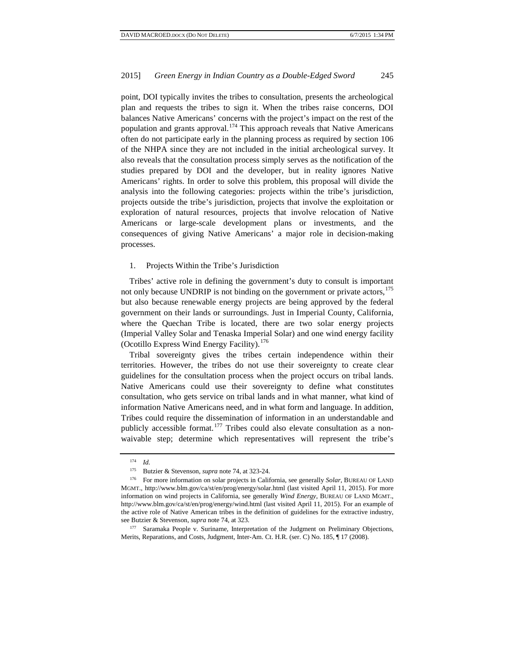point, DOI typically invites the tribes to consultation, presents the archeological plan and requests the tribes to sign it. When the tribes raise concerns, DOI balances Native Americans' concerns with the project's impact on the rest of the population and grants approval.<sup>[174](#page-22-0)</sup> This approach reveals that Native Americans often do not participate early in the planning process as required by section 106 of the NHPA since they are not included in the initial archeological survey. It also reveals that the consultation process simply serves as the notification of the studies prepared by DOI and the developer, but in reality ignores Native Americans' rights. In order to solve this problem, this proposal will divide the analysis into the following categories: projects within the tribe's jurisdiction, projects outside the tribe's jurisdiction, projects that involve the exploitation or exploration of natural resources, projects that involve relocation of Native Americans or large-scale development plans or investments, and the consequences of giving Native Americans' a major role in decision-making processes.

#### 1. Projects Within the Tribe's Jurisdiction

Tribes' active role in defining the government's duty to consult is important not only because UNDRIP is not binding on the government or private actors,<sup>[175](#page-22-1)</sup> but also because renewable energy projects are being approved by the federal government on their lands or surroundings. Just in Imperial County, California, where the Quechan Tribe is located, there are two solar energy projects (Imperial Valley Solar and Tenaska Imperial Solar) and one wind energy facility (Ocotillo Express Wind Energy Facility).  $176$ 

Tribal sovereignty gives the tribes certain independence within their territories. However, the tribes do not use their sovereignty to create clear guidelines for the consultation process when the project occurs on tribal lands. Native Americans could use their sovereignty to define what constitutes consultation, who gets service on tribal lands and in what manner, what kind of information Native Americans need, and in what form and language. In addition, Tribes could require the dissemination of information in an understandable and publicly accessible format.<sup>[177](#page-22-3)</sup> Tribes could also elevate consultation as a nonwaivable step; determine which representatives will represent the tribe's

<sup>174</sup> *Id.*

<sup>175</sup> Butzier & Stevenson, *supra* note 74, at 323-24.

<span id="page-22-2"></span><span id="page-22-1"></span><span id="page-22-0"></span><sup>176</sup> For more information on solar projects in California, see generally *Solar*, BUREAU OF LAND MGMT., http://www.blm.gov/ca/st/en/prog/energy/solar.html (last visited April 11, 2015). For more information on wind projects in California, see generally *Wind Energy*, BUREAU OF LAND MGMT., http://www.blm.gov/ca/st/en/prog/energy/wind.html (last visited April 11, 2015). For an example of the active role of Native American tribes in the definition of guidelines for the extractive industry, see Butzier & Stevenson, *supra* note 74, at 323.

<span id="page-22-3"></span>Saramaka People v. Suriname, Interpretation of the Judgment on Preliminary Objections, Merits, Reparations, and Costs, Judgment, Inter-Am. Ct. H.R. (ser. C) No. 185, ¶ 17 (2008).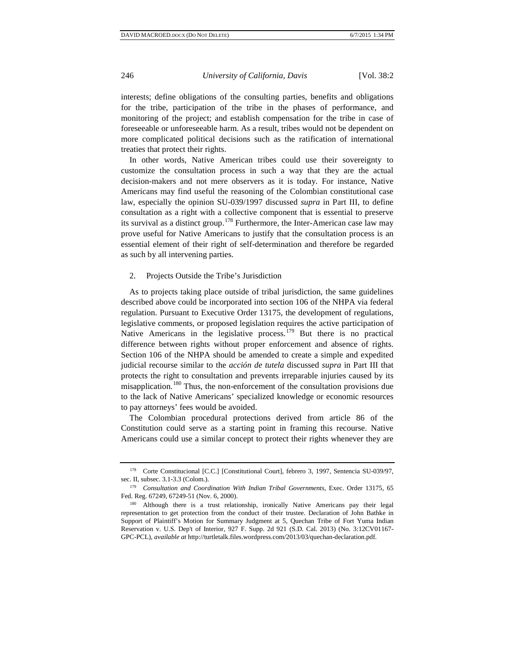interests; define obligations of the consulting parties, benefits and obligations for the tribe, participation of the tribe in the phases of performance, and monitoring of the project; and establish compensation for the tribe in case of foreseeable or unforeseeable harm. As a result, tribes would not be dependent on more complicated political decisions such as the ratification of international treaties that protect their rights.

In other words, Native American tribes could use their sovereignty to customize the consultation process in such a way that they are the actual decision-makers and not mere observers as it is today. For instance, Native Americans may find useful the reasoning of the Colombian constitutional case law, especially the opinion SU-039/1997 discussed *supra* in Part III, to define consultation as a right with a collective component that is essential to preserve its survival as a distinct group.<sup>[178](#page-23-0)</sup> Furthermore, the Inter-American case law may prove useful for Native Americans to justify that the consultation process is an essential element of their right of self-determination and therefore be regarded as such by all intervening parties.

2. Projects Outside the Tribe's Jurisdiction

As to projects taking place outside of tribal jurisdiction, the same guidelines described above could be incorporated into section 106 of the NHPA via federal regulation. Pursuant to Executive Order 13175, the development of regulations, legislative comments, or proposed legislation requires the active participation of Native Americans in the legislative process.<sup>[179](#page-23-1)</sup> But there is no practical difference between rights without proper enforcement and absence of rights. Section 106 of the NHPA should be amended to create a simple and expedited judicial recourse similar to the *acción de tutela* discussed *supra* in Part III that protects the right to consultation and prevents irreparable injuries caused by its misapplication.<sup>[180](#page-23-2)</sup> Thus, the non-enforcement of the consultation provisions due to the lack of Native Americans' specialized knowledge or economic resources to pay attorneys' fees would be avoided.

The Colombian procedural protections derived from article 86 of the Constitution could serve as a starting point in framing this recourse. Native Americans could use a similar concept to protect their rights whenever they are

<span id="page-23-0"></span><sup>&</sup>lt;sup>178</sup> Corte Constitucional [C.C.] [Constitutional Court], febrero 3, 1997, Sentencia SU-039/97, sec. II, subsec. 3.1-3.3 (Colom.).

<span id="page-23-1"></span><sup>179</sup> *Consultation and Coordination With Indian Tribal Governments*, Exec. Order 13175, 65 Fed. Reg. 67249, 67249-51 (Nov. 6, 2000).

<span id="page-23-2"></span><sup>180</sup> Although there is a trust relationship, ironically Native Americans pay their legal representation to get protection from the conduct of their trustee. Declaration of John Bathke in Support of Plaintiff's Motion for Summary Judgment at 5, Quechan Tribe of Fort Yuma Indian Reservation v. U.S. Dep't of Interior, 927 F. Supp. 2d 921 (S.D. Cal. 2013) (No. 3:12CV01167- GPC-PCL), *available at* http://turtletalk.files.wordpress.com/2013/03/quechan-declaration.pdf.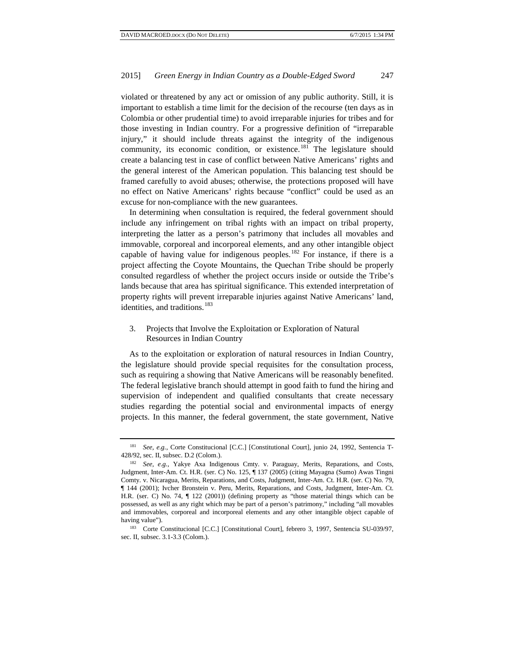violated or threatened by any act or omission of any public authority. Still, it is important to establish a time limit for the decision of the recourse (ten days as in Colombia or other prudential time) to avoid irreparable injuries for tribes and for those investing in Indian country. For a progressive definition of "irreparable injury," it should include threats against the integrity of the indigenous community, its economic condition, or existence.<sup>[181](#page-24-0)</sup> The legislature should create a balancing test in case of conflict between Native Americans' rights and the general interest of the American population. This balancing test should be framed carefully to avoid abuses; otherwise, the protections proposed will have no effect on Native Americans' rights because "conflict" could be used as an excuse for non-compliance with the new guarantees.

In determining when consultation is required, the federal government should include any infringement on tribal rights with an impact on tribal property, interpreting the latter as a person's patrimony that includes all movables and immovable, corporeal and incorporeal elements, and any other intangible object capable of having value for indigenous peoples.<sup>[182](#page-24-1)</sup> For instance, if there is a project affecting the Coyote Mountains, the Quechan Tribe should be properly consulted regardless of whether the project occurs inside or outside the Tribe's lands because that area has spiritual significance. This extended interpretation of property rights will prevent irreparable injuries against Native Americans' land, identities, and traditions.<sup>[183](#page-24-2)</sup>

# 3. Projects that Involve the Exploitation or Exploration of Natural Resources in Indian Country

As to the exploitation or exploration of natural resources in Indian Country, the legislature should provide special requisites for the consultation process, such as requiring a showing that Native Americans will be reasonably benefited. The federal legislative branch should attempt in good faith to fund the hiring and supervision of independent and qualified consultants that create necessary studies regarding the potential social and environmental impacts of energy projects. In this manner, the federal government, the state government, Native

<span id="page-24-0"></span><sup>&</sup>lt;sup>181</sup> *See, e.g.*, Corte Constitucional [C.C.] [Constitutional Court], junio 24, 1992, Sentencia T-428/92, sec. II, subsec. D.2 (Colom.). 182 *See, e.g.*, Yakye Axa Indigenous Cmty. v. Paraguay, Merits, Reparations, and Costs,

<span id="page-24-1"></span>Judgment, Inter-Am. Ct. H.R. (ser. C) No. 125, ¶ 137 (2005) (citing Mayagna (Sumo) Awas Tingni Comty. v. Nicaragua, Merits, Reparations, and Costs, Judgment, Inter-Am. Ct. H.R. (ser. C) No. 79, ¶ 144 (2001); Ivcher Bronstein v. Peru, Merits, Reparations, and Costs, Judgment, Inter-Am. Ct. H.R. (ser. C) No. 74, ¶ 122 (2001)) (defining property as "those material things which can be possessed, as well as any right which may be part of a person's patrimony," including "all movables and immovables, corporeal and incorporeal elements and any other intangible object capable of

<span id="page-24-2"></span>having value").<br><sup>183</sup> Corte Constitucional [C.C.] [Constitutional Court], febrero 3, 1997, Sentencia SU-039/97, sec. II, subsec. 3.1-3.3 (Colom.).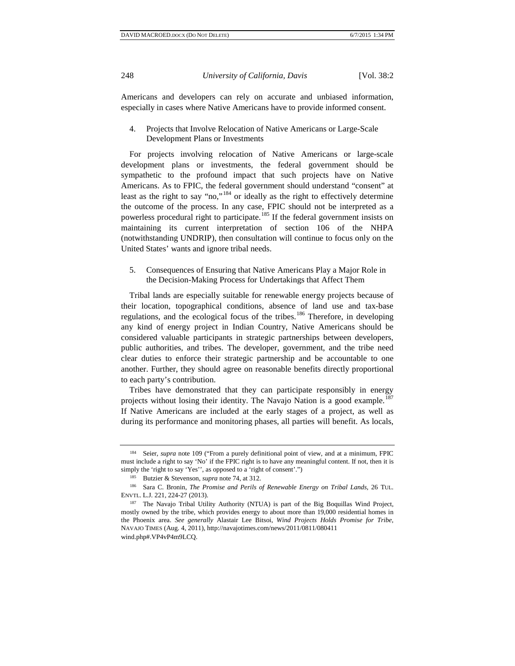Americans and developers can rely on accurate and unbiased information, especially in cases where Native Americans have to provide informed consent.

## 4. Projects that Involve Relocation of Native Americans or Large-Scale Development Plans or Investments

For projects involving relocation of Native Americans or large-scale development plans or investments, the federal government should be sympathetic to the profound impact that such projects have on Native Americans. As to FPIC, the federal government should understand "consent" at least as the right to say "no,"[184](#page-25-0) or ideally as the right to effectively determine the outcome of the process. In any case, FPIC should not be interpreted as a powerless procedural right to participate.<sup>[185](#page-25-1)</sup> If the federal government insists on maintaining its current interpretation of section 106 of the NHPA (notwithstanding UNDRIP), then consultation will continue to focus only on the United States' wants and ignore tribal needs.

5. Consequences of Ensuring that Native Americans Play a Major Role in the Decision-Making Process for Undertakings that Affect Them

Tribal lands are especially suitable for renewable energy projects because of their location, topographical conditions, absence of land use and tax-base regulations, and the ecological focus of the tribes.<sup>[186](#page-25-2)</sup> Therefore, in developing any kind of energy project in Indian Country, Native Americans should be considered valuable participants in strategic partnerships between developers, public authorities, and tribes. The developer, government, and the tribe need clear duties to enforce their strategic partnership and be accountable to one another. Further, they should agree on reasonable benefits directly proportional to each party's contribution.

Tribes have demonstrated that they can participate responsibly in energy projects without losing their identity. The Navajo Nation is a good example.<sup>1</sup> If Native Americans are included at the early stages of a project, as well as during its performance and monitoring phases, all parties will benefit. As locals,

<span id="page-25-0"></span><sup>&</sup>lt;sup>184</sup> Seier, *supra* note 109 ("From a purely definitional point of view, and at a minimum, FPIC must include a right to say 'No' if the FPIC right is to have any meaningful content. If not, then it is simply the 'right to say 'Yes'', as opposed to a 'right of consent'.")

<sup>185</sup> Butzier & Stevenson, *supra* note 74, at 312.

<span id="page-25-2"></span><span id="page-25-1"></span><sup>186</sup> Sara C. Bronin, *The Promise and Perils of Renewable Energy on Tribal Lands*, 26 TUL. ENVTL. L.J. 221, 224-27 (2013).

<span id="page-25-3"></span><sup>&</sup>lt;sup>187</sup> The Navajo Tribal Utility Authority (NTUA) is part of the Big Boquillas Wind Project, mostly owned by the tribe, which provides energy to about more than 19,000 residential homes in the Phoenix area. *See generally* Alastair Lee Bitsoi, *Wind Projects Holds Promise for Tribe*, NAVAJO TIMES (Aug. 4, 2011), http://navajotimes.com/news/2011/0811/080411 wind.php#.VP4vP4m9LCQ.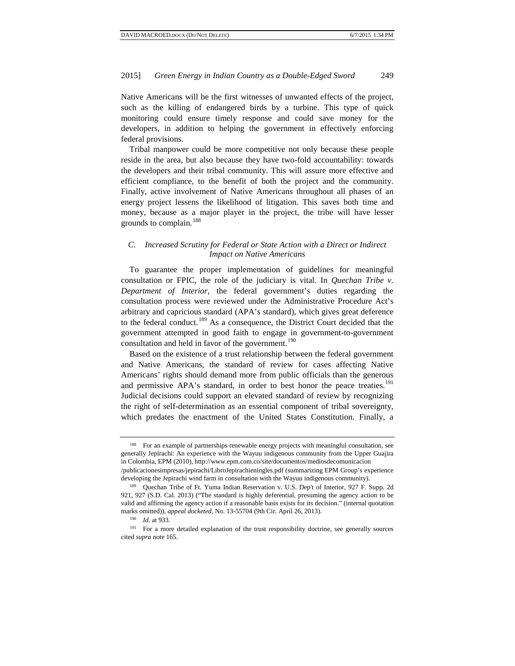Native Americans will be the first witnesses of unwanted effects of the project, such as the killing of endangered birds by a turbine. This type of quick monitoring could ensure timely response and could save money for the developers, in addition to helping the government in effectively enforcing federal provisions.

Tribal manpower could be more competitive not only because these people reside in the area, but also because they have two-fold accountability: towards the developers and their tribal community. This will assure more effective and efficient compliance, to the benefit of both the project and the community. Finally, active involvement of Native Americans throughout all phases of an energy project lessens the likelihood of litigation. This saves both time and money, because as a major player in the project, the tribe will have lesser grounds to complain.<sup>[188](#page-26-0)</sup>

# *C. Increased Scrutiny for Federal or State Action with a Direct or Indirect Impact on Native Americans*

To guarantee the proper implementation of guidelines for meaningful consultation or FPIC, the role of the judiciary is vital. In *Quechan Tribe v. Department of Interior*, the federal government's duties regarding the consultation process were reviewed under the Administrative Procedure Act's arbitrary and capricious standard (APA's standard), which gives great deference to the federal conduct.<sup>[189](#page-26-1)</sup> As a consequence, the District Court decided that the government attempted in good faith to engage in government-to-government consultation and held in favor of the government.<sup>[190](#page-26-2)</sup>

Based on the existence of a trust relationship between the federal government and Native Americans, the standard of review for cases affecting Native Americans' rights should demand more from public officials than the generous and permissive APA's standard, in order to best honor the peace treaties.<sup>[191](#page-26-3)</sup> Judicial decisions could support an elevated standard of review by recognizing the right of self-determination as an essential component of tribal sovereignty, which predates the enactment of the United States Constitution. Finally, a

<span id="page-26-0"></span><sup>&</sup>lt;sup>188</sup> For an example of partnerships renewable energy projects with meaningful consultation, see generally Jepírachi: An experience with the Wayuu indigenous community from the Upper Guajira in Colombia, EPM (2010), http://www.epm.com.co/site/documentos/mediosdecomunicacion

<sup>/</sup>publicacionesimpresas/jepirachi/LibroJepirachieningles.pdf (summarizing EPM Group's experience developing the Jepirachi wind farm in consultation with the Wayuu indigenous community).

<span id="page-26-1"></span><sup>189</sup> Quechan Tribe of Ft. Yuma Indian Reservation v. U.S. Dep't of Interior, 927 F. Supp. 2d 921, 927 (S.D. Cal. 2013) ("The standard is highly deferential, presuming the agency action to be valid and affirming the agency action if a reasonable basis exists for its decision." (internal quotation marks omitted)), *appeal docketed*, No. 13-55704 (9th Cir. April 26, 2013).

<sup>190</sup> *Id.* at 933.

<span id="page-26-3"></span><span id="page-26-2"></span><sup>&</sup>lt;sup>191</sup> For a more detailed explanation of the trust responsibility doctrine, see generally sources cited *supra* note 165.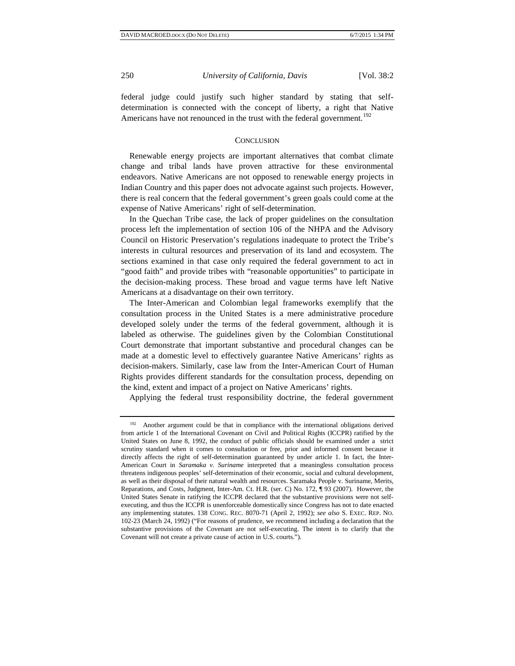federal judge could justify such higher standard by stating that selfdetermination is connected with the concept of liberty, a right that Native Americans have not renounced in the trust with the federal government.<sup>[192](#page-27-0)</sup>

#### **CONCLUSION**

Renewable energy projects are important alternatives that combat climate change and tribal lands have proven attractive for these environmental endeavors. Native Americans are not opposed to renewable energy projects in Indian Country and this paper does not advocate against such projects. However, there is real concern that the federal government's green goals could come at the expense of Native Americans' right of self-determination.

In the Quechan Tribe case, the lack of proper guidelines on the consultation process left the implementation of section 106 of the NHPA and the Advisory Council on Historic Preservation's regulations inadequate to protect the Tribe's interests in cultural resources and preservation of its land and ecosystem. The sections examined in that case only required the federal government to act in "good faith" and provide tribes with "reasonable opportunities" to participate in the decision-making process. These broad and vague terms have left Native Americans at a disadvantage on their own territory.

The Inter-American and Colombian legal frameworks exemplify that the consultation process in the United States is a mere administrative procedure developed solely under the terms of the federal government, although it is labeled as otherwise. The guidelines given by the Colombian Constitutional Court demonstrate that important substantive and procedural changes can be made at a domestic level to effectively guarantee Native Americans' rights as decision-makers. Similarly, case law from the Inter-American Court of Human Rights provides different standards for the consultation process, depending on the kind, extent and impact of a project on Native Americans' rights.

Applying the federal trust responsibility doctrine, the federal government

<span id="page-27-0"></span><sup>192</sup> Another argument could be that in compliance with the international obligations derived from article 1 of the International Covenant on Civil and Political Rights (ICCPR) ratified by the United States on June 8, 1992, the conduct of public officials should be examined under a strict scrutiny standard when it comes to consultation or free, prior and informed consent because it directly affects the right of self-determination guaranteed by under article 1. In fact, the Inter-American Court in *Saramaka v. Suriname* interpreted that a meaningless consultation process threatens indigenous peoples' self-determination of their economic, social and cultural development, as well as their disposal of their natural wealth and resources. Saramaka People v. Suriname, Merits, Reparations, and Costs, Judgment, Inter-Am. Ct. H.R. (ser. C) No. 172, ¶ 93 (2007). However, the United States Senate in ratifying the ICCPR declared that the substantive provisions were not selfexecuting, and thus the ICCPR is unenforceable domestically since Congress has not to date enacted any implementing statutes. 138 CONG. REC. 8070-71 (April 2, 1992); *see also* S. EXEC. REP. NO. 102-23 (March 24, 1992) ("For reasons of prudence, we recommend including a declaration that the substantive provisions of the Covenant are not self-executing. The intent is to clarify that the Covenant will not create a private cause of action in U.S. courts.").